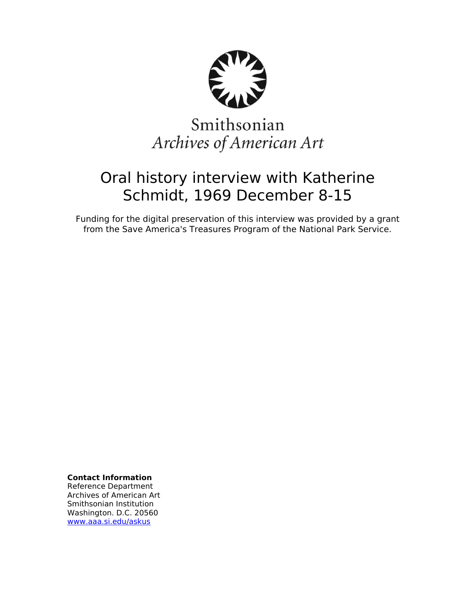

# Smithsonian Archives of American Art

# Oral history interview with Katherine Schmidt, 1969 December 8-15

Funding for the digital preservation of this interview was provided by a grant from the Save America's Treasures Program of the National Park Service.

**Contact Information**

Reference Department Archives of American Art Smithsonian Institution Washington. D.C. 20560 [www.aaa.si.edu/askus](http://www.aaa.si.edu/askus)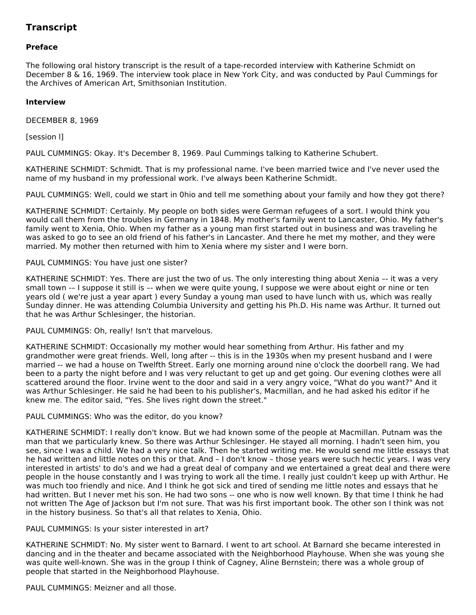# **Transcript**

# **Preface**

The following oral history transcript is the result of a tape-recorded interview with Katherine Schmidt on December 8 & 16, 1969. The interview took place in New York City, and was conducted by Paul Cummings for the Archives of American Art, Smithsonian Institution.

# **Interview**

DECEMBER 8, 1969

[session l]

PAUL CUMMINGS: Okay. It's December 8, 1969. Paul Cummings talking to Katherine Schubert.

KATHERINE SCHMIDT: Schmidt. That is my professional name. I've been married twice and I've never used the name of my husband in my professional work. I've always been Katherine Schmidt.

PAUL CUMMINGS: Well, could we start in 0hio and tell me something about your family and how they got there?

KATHERINE SCHMIDT: Certainly. My people on both sides were German refugees of a sort. I would think you would call them from the troubles in Germany in 1848. My mother's family went to Lancaster, Ohio. My father's family went to Xenia, Ohio. When my father as a young man first started out in business and was traveling he was asked to go to see an old friend of his father's in Lancaster. And there he met my mother, and they were married. My mother then returned with him to Xenia where my sister and I were born.

#### PAUL CUMMINGS: You have just one sister?

KATHERINE SCHMIDT: Yes. There are just the two of us. The only interesting thing about Xenia –- it was a very small town -– I suppose it still is –- when we were quite young, I suppose we were about eight or nine or ten years old ( we're just a year apart ) every Sunday a young man used to have lunch with us, which was really Sunday dinner. He was attending Columbia University and getting his Ph.D. His name was Arthur. It turned out that he was Arthur Schlesinger, the historian.

PAUL CUMMINGS: Oh, really! Isn't that marvelous.

KATHERINE SCHMIDT: Occasionally my mother would hear something from Arthur. His father and my grandmother were great friends. Well, long after -- this is in the 1930s when my present husband and I were married -- we had a house on Twelfth Street. Early one morning around nine o'clock the doorbell rang. We had been to a party the night before and I was very reluctant to get up and get going. Our evening clothes were all scattered around the floor. Irvine went to the door and said in a very angry voice, "What do you want?" And it was Arthur Schlesinger. He said he had been to his publisher's, Macmillan, and he had asked his editor if he knew me. The editor said, "Yes. She lives right down the street."

#### PAUL CUMMINGS: Who was the editor, do you know?

KATHERINE SCHMIDT: I really don't know. But we had known some of the people at Macmillan. Putnam was the man that we particularly knew. So there was Arthur Schlesinger. He stayed all morning. I hadn't seen him, you see, since I was a child. We had a very nice talk. Then he started writing me. He would send me little essays that he had written and little notes on this or that. And – I don't know – those years were such hectic years. I was very interested in artists' to do's and we had a great deal of company and we entertained a great deal and there were people in the house constantly and I was trying to work all the time. I really just couldn't keep up with Arthur. He was much too friendly and nice. And I think he got sick and tired of sending me little notes and essays that he had written. But I never met his son. He had two sons -- one who is now well known. By that time I think he had not written The Age of Jackson but I'm not sure. That was his first important book. The other son I think was not in the history business. So that's all that relates to Xenia, Ohio.

PAUL CUMMINGS: Is your sister interested in art?

KATHERINE SCHMIDT: No. My sister went to Barnard. I went to art school. At Barnard she became interested in dancing and in the theater and became associated with the Neighborhood Playhouse. When she was young she was quite well-known. She was in the group I think of Cagney, Aline Bernstein; there was a whole group of people that started in the Neighborhood Playhouse.

PAUL CUMMINGS: Meizner and all those.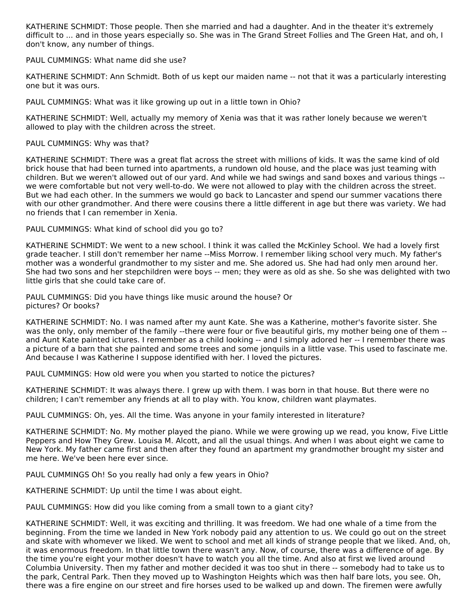KATHERINE SCHMIDT: Those people. Then she married and had a daughter. And in the theater it's extremely difficult to ... and in those years especially so. She was in The Grand Street Follies and The Green Hat, and oh, I don't know, any number of things.

PAUL CUMMINGS: What name did she use?

KATHERINE SCHMIDT: Ann Schmidt. Both of us kept our maiden name -- not that it was a particularly interesting one but it was ours.

PAUL CUMMINGS: What was it like growing up out in a little town in Ohio?

KATHERINE SCHMIDT: Well, actually my memory of Xenia was that it was rather lonely because we weren't allowed to play with the children across the street.

PAUL CUMMINGS: Why was that?

KATHERINE SCHMIDT: There was a great flat across the street with millions of kids. It was the same kind of old brick house that had been turned into apartments, a rundown old house, and the place was just teaming with children. But we weren't allowed out of our yard. And while we had swings and sand boxes and various things - we were comfortable but not very well-to-do. We were not allowed to play with the children across the street. But we had each other. In the summers we would go back to Lancaster and spend our summer vacations there with our other grandmother. And there were cousins there a little different in age but there was variety. We had no friends that I can remember in Xenia.

PAUL CUMMINGS: What kind of school did you go to?

KATHERINE SCHMIDT: We went to a new school. I think it was called the McKinley School. We had a lovely first grade teacher. I still don't remember her name --Miss Morrow. I remember liking school very much. My father's mother was a wonderful grandmother to my sister and me. She adored us. She had had only men around her. She had two sons and her stepchildren were boys -- men; they were as old as she. So she was delighted with two little girls that she could take care of.

PAUL CUMMINGS: Did you have things like music around the house? Or pictures? Or books?

KATHERINE SCHMIDT: No. I was named after my aunt Kate. She was a Katherine, mother's favorite sister. She was the only, only member of the family --there were four or five beautiful girls, my mother being one of them -and Aunt Kate painted ictures. I remember as a child looking -- and I simply adored her -- I remember there was a picture of a barn that she painted and some trees and some jonquils in a little vase. This used to fascinate me. And because I was Katherine I suppose identified with her. I loved the pictures.

PAUL CUMMINGS: How old were you when you started to notice the pictures?

KATHERINE SCHMIDT: It was always there. I grew up with them. I was born in that house. But there were no children; I can't remember any friends at all to play with. You know, children want playmates.

PAUL CUMMINGS: Oh, yes. All the time. Was anyone in your family interested in literature?

KATHERINE SCHMIDT: No. My mother played the piano. While we were growing up we read, you know, Five Little Peppers and How They Grew. Louisa M. Alcott, and all the usual things. And when I was about eight we came to New York. My father came first and then after they found an apartment my grandmother brought my sister and me here. We've been here ever since.

PAUL CUMMINGS Oh! So you really had only a few years in Ohio?

KATHERINE SCHMIDT: Up until the time I was about eight.

PAUL CUMMINGS: How did you like coming from a small town to a giant city?

KATHERINE SCHMIDT: Well, it was exciting and thrilling. It was freedom. We had one whale of a time from the beginning. From the time we landed in New York nobody paid any attention to us. We could go out on the street and skate with whomever we liked. We went to school and met all kinds of strange people that we liked. And, oh, it was enormous freedom. In that little town there wasn't any. Now, of course, there was a difference of age. By the time you're eight your mother doesn't have to watch you all the time. And also at first we lived around Columbia University. Then my father and mother decided it was too shut in there -- somebody had to take us to the park, Central Park. Then they moved up to Washington Heights which was then half bare lots, you see. Oh, there was a fire engine on our street and fire horses used to be walked up and down. The firemen were awfully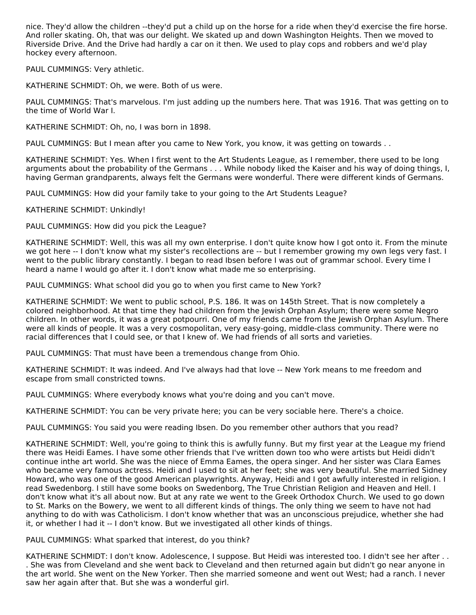nice. They'd allow the children --they'd put a child up on the horse for a ride when they'd exercise the fire horse. And roller skating. Oh, that was our delight. We skated up and down Washington Heights. Then we moved to Riverside Drive. And the Drive had hardly a car on it then. We used to play cops and robbers and we'd play hockey every afternoon.

PAUL CUMMINGS: Very athletic.

KATHERINE SCHMIDT: Oh, we were. Both of us were.

PAUL CUMMINGS: That's marvelous. I'm just adding up the numbers here. That was 1916. That was getting on to the time of World War I.

KATHERINE SCHMIDT: Oh, no, I was born in 1898.

PAUL CUMMINGS: But I mean after you came to New York, you know, it was getting on towards . .

KATHERINE SCHMIDT: Yes. When I first went to the Art Students League, as I remember, there used to be long arguments about the probability of the Germans . . . While nobody liked the Kaiser and his way of doing things, I, having German grandparents, always felt the Germans were wonderful. There were different kinds of Germans.

PAUL CUMMINGS: How did your family take to your going to the Art Students League?

KATHERINE SCHMIDT: Unkindly!

PAUL CUMMINGS: How did you pick the League?

KATHERINE SCHMIDT: Well, this was all my own enterprise. I don't quite know how I got onto it. From the minute we got here -- I don't know what my sister's recollections are -- but I remember growing my own legs very fast. I went to the public library constantly. I began to read Ibsen before I was out of grammar school. Every time I heard a name I would go after it. I don't know what made me so enterprising.

PAUL CUMMINGS: What school did you go to when you first came to New York?

KATHERINE SCHMIDT: We went to public school, P.S. 186. It was on 145th Street. That is now completely a colored neighborhood. At that time they had children from the Jewish Orphan Asylum; there were some Negro children. In other words, it was a great potpourri. One of my friends came from the Jewish Orphan Asylum. There were all kinds of people. It was a very cosmopolitan, very easy-going, middle-class community. There were no racial differences that I could see, or that I knew of. We had friends of all sorts and varieties.

PAUL CUMMINGS: That must have been a tremendous change from Ohio.

KATHERINE SCHMIDT: It was indeed. And I've always had that love -- New York means to me freedom and escape from small constricted towns.

PAUL CUMMINGS: Where everybody knows what you're doing and you can't move.

KATHERINE SCHMIDT: You can be very private here; you can be very sociable here. There's a choice.

PAUL CUMMINGS: You said you were reading Ibsen. Do you remember other authors that you read?

KATHERINE SCHMIDT: Well, you're going to think this is awfully funny. But my first year at the League my friend there was Heidi Eames. I have some other friends that I've written down too who were artists but Heidi didn't continue inthe art world. She was the niece of Emma Eames, the opera singer. And her sister was Clara Eames who became very famous actress. Heidi and I used to sit at her feet; she was very beautiful. She married Sidney Howard, who was one of the good American playwrights. Anyway, Heidi and I got awfully interested in religion. I read Swedenborg. I still have some books on Swedenborg, The True Christian Religion and Heaven and Hell. I don't know what it's all about now. But at any rate we went to the Greek Orthodox Church. We used to go down to St. Marks on the Bowery, we went to all different kinds of things. The only thing we seem to have not had anything to do with was Catholicism. I don't know whether that was an unconscious prejudice, whether she had it, or whether I had it -- I don't know. But we investigated all other kinds of things.

PAUL CUMMINGS: What sparked that interest, do you think?

KATHERINE SCHMIDT: I don't know. Adolescence, I suppose. But Heidi was interested too. I didn't see her after . . . She was from Cleveland and she went back to Cleveland and then returned again but didn't go near anyone in the art world. She went on the New Yorker. Then she married someone and went out West; had a ranch. I never saw her again after that. But she was a wonderful girl.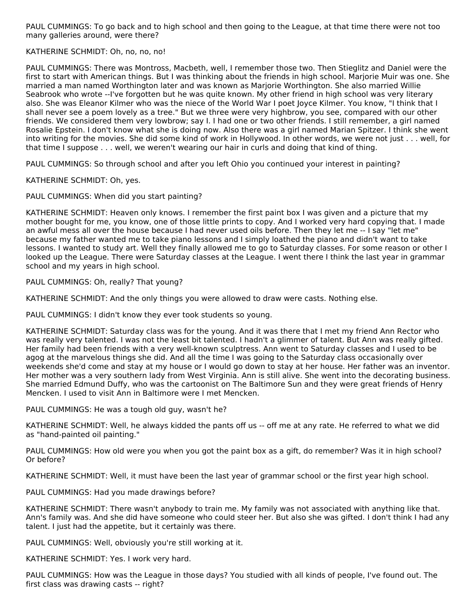PAUL CUMMINGS: To go back and to high school and then going to the League, at that time there were not too many galleries around, were there?

# KATHERINE SCHMIDT: Oh, no, no, no!

PAUL CUMMINGS: There was Montross, Macbeth, well, I remember those two. Then Stieglitz and Daniel were the first to start with American things. But I was thinking about the friends in high school. Marjorie Muir was one. She married a man named Worthington later and was known as Marjorie Worthington. She also married Willie Seabrook who wrote --I've forgotten but he was quite known. My other friend in high school was very literary also. She was Eleanor Kilmer who was the niece of the World War I poet Joyce Kilmer. You know, "I think that I shall never see a poem lovely as a tree." But we three were very highbrow, you see, compared with our other friends. We considered them very lowbrow; say I. I had one or two other friends. I still remember, a girl named Rosalie Epstein. I don't know what she is doing now. Also there was a girl named Marian Spitzer. I think she went into writing for the movies. She did some kind of work in Hollywood. In other words, we were not just . . . well, for that time I suppose . . . well, we weren't wearing our hair in curls and doing that kind of thing.

PAUL CUMMINGS: So through school and after you left Ohio you continued your interest in painting?

KATHERINE SCHMIDT: Oh, yes.

PAUL CUMMINGS: When did you start painting?

KATHERINE SCHMIDT: Heaven only knows. I remember the first paint box I was given and a picture that my mother bought for me, you know, one of those little prints to copy. And I worked very hard copying that. I made an awful mess all over the house because I had never used oils before. Then they let me -- I say "let me" because my father wanted me to take piano lessons and I simply loathed the piano and didn't want to take lessons. I wanted to study art. Well they finally allowed me to go to Saturday classes. For some reason or other I looked up the League. There were Saturday classes at the League. I went there I think the last year in grammar school and my years in high school.

PAUL CUMMINGS: Oh, really? That young?

KATHERINE SCHMIDT: And the only things you were allowed to draw were casts. Nothing else.

PAUL CUMMINGS: I didn't know they ever took students so young.

KATHERINE SCHMIDT: Saturday class was for the young. And it was there that I met my friend Ann Rector who was really very talented. I was not the least bit talented. I hadn't a glimmer of talent. But Ann was really gifted. Her family had been friends with a very well-known sculptress. Ann went to Saturday classes and I used to be agog at the marvelous things she did. And all the time I was going to the Saturday class occasionally over weekends she'd come and stay at my house or I would go down to stay at her house. Her father was an inventor. Her mother was a very southern lady from West Virginia. Ann is still alive. She went into the decorating business. She married Edmund Duffy, who was the cartoonist on The Baltimore Sun and they were great friends of Henry Mencken. I used to visit Ann in Baltimore were I met Mencken.

PAUL CUMMINGS: He was a tough old guy, wasn't he?

KATHERINE SCHMIDT: Well, he always kidded the pants off us -- off me at any rate. He referred to what we did as "hand-painted oil painting."

PAUL CUMMINGS: How old were you when you got the paint box as a gift, do remember? Was it in high school? Or before?

KATHERINE SCHMIDT: Well, it must have been the last year of grammar school or the first year high school.

PAUL CUMMINGS: Had you made drawings before?

KATHERINE SCHMIDT: There wasn't anybody to train me. My family was not associated with anything like that. Ann's family was. And she did have someone who could steer her. But also she was gifted. I don't think I had any talent. I just had the appetite, but it certainly was there.

PAUL CUMMINGS: Well, obviously you're still working at it.

KATHERINE SCHMIDT: Yes. I work very hard.

PAUL CUMMINGS: How was the League in those days? You studied with all kinds of people, I've found out. The first class was drawing casts -- right?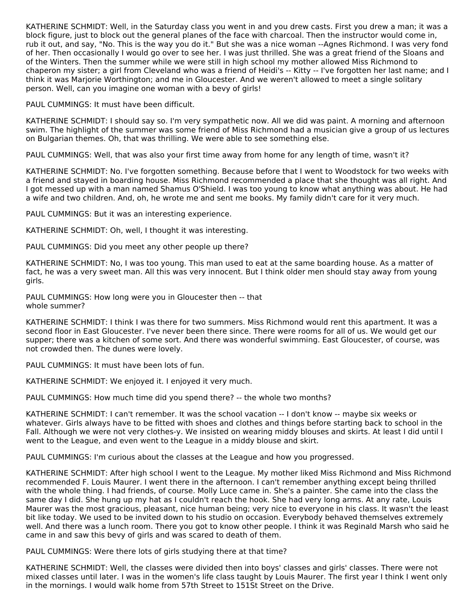KATHERINE SCHMIDT: Well, in the Saturday class you went in and you drew casts. First you drew a man; it was a block figure, just to block out the general planes of the face with charcoal. Then the instructor would come in, rub it out, and say, "No. This is the way you do it." But she was a nice woman --Agnes Richmond. I was very fond of her. Then occasionally I would go over to see her. I was just thrilled. She was a great friend of the Sloans and of the Winters. Then the summer while we were still in high school my mother allowed Miss Richmond to chaperon my sister; a girl from Cleveland who was a friend of Heidi's -- Kitty -- I've forgotten her last name; and I think it was Marjorie Worthington; and me in Gloucester. And we weren't allowed to meet a single solitary person. Well, can you imagine one woman with a bevy of girls!

PAUL CUMMINGS: It must have been difficult.

KATHERINE SCHMIDT: I should say so. I'm very sympathetic now. All we did was paint. A morning and afternoon swim. The highlight of the summer was some friend of Miss Richmond had a musician give a group of us lectures on Bulgarian themes. Oh, that was thrilling. We were able to see something else.

PAUL CUMMINGS: Well, that was also your first time away from home for any length of time, wasn't it?

KATHERINE SCHMIDT: No. I've forgotten something. Because before that I went to Woodstock for two weeks with a friend and stayed in boarding house. Miss Richmond recommended a place that she thought was all right. And I got messed up with a man named Shamus O'Shield. I was too young to know what anything was about. He had a wife and two children. And, oh, he wrote me and sent me books. My family didn't care for it very much.

PAUL CUMMINGS: But it was an interesting experience.

KATHERINE SCHMIDT: Oh, well, I thought it was interesting.

PAUL CUMMINGS: Did you meet any other people up there?

KATHERINE SCHMIDT: No, I was too young. This man used to eat at the same boarding house. As a matter of fact, he was a very sweet man. All this was very innocent. But I think older men should stay away from young girls.

PAUL CUMMINGS: How long were you in Gloucester then -- that whole summer?

KATHERINE SCHMIDT: I think I was there for two summers. Miss Richmond would rent this apartment. It was a second floor in East Gloucester. I've never been there since. There were rooms for all of us. We would get our supper; there was a kitchen of some sort. And there was wonderful swimming. East Gloucester, of course, was not crowded then. The dunes were lovely.

PAUL CUMMINGS: It must have been lots of fun.

KATHERINE SCHMIDT: We enjoyed it. I enjoyed it very much.

PAUL CUMMINGS: How much time did you spend there? -- the whole two months?

KATHERINE SCHMIDT: I can't remember. It was the school vacation -- I don't know -- maybe six weeks or whatever. Girls always have to be fitted with shoes and clothes and things before starting back to school in the Fall. Although we were not very clothes-y. We insisted on wearing middy blouses and skirts. At least I did until I went to the League, and even went to the League in a middy blouse and skirt.

PAUL CUMMINGS: I'm curious about the classes at the League and how you progressed.

KATHERINE SCHMIDT: After high school I went to the League. My mother liked Miss Richmond and Miss Richmond recommended F. Louis Maurer. I went there in the afternoon. I can't remember anything except being thrilled with the whole thing. I had friends, of course. Molly Luce came in. She's a painter. She came into the class the same day I did. She hung up my hat as I couldn't reach the hook. She had very long arms. At any rate, Louis Maurer was the most gracious, pleasant, nice human being; very nice to everyone in his class. It wasn't the least bit like today. We used to be invited down to his studio on occasion. Everybody behaved themselves extremely well. And there was a lunch room. There you got to know other people. I think it was Reginald Marsh who said he came in and saw this bevy of girls and was scared to death of them.

PAUL CUMMINGS: Were there lots of girls studying there at that time?

KATHERINE SCHMIDT: Well, the classes were divided then into boys' classes and girls' classes. There were not mixed classes until later. I was in the women's life class taught by Louis Maurer. The first year I think I went only in the mornings. I would walk home from 57th Street to 151St Street on the Drive.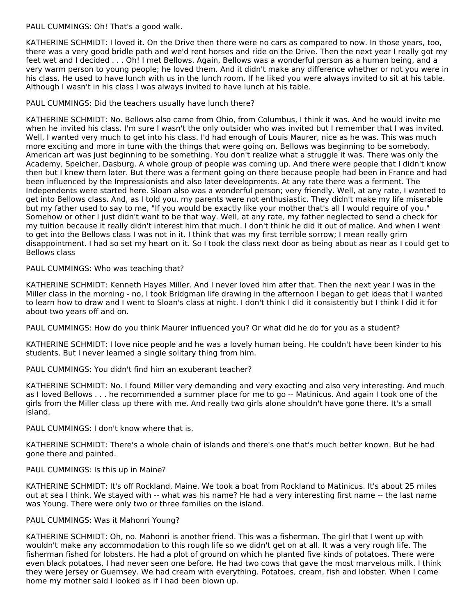PAUL CUMMINGS: Oh! That's a good walk.

KATHERINE SCHMIDT: I loved it. On the Drive then there were no cars as compared to now. In those years, too, there was a very good bridle path and we'd rent horses and ride on the Drive. Then the next year I really got my feet wet and I decided . . . Oh! I met Bellows. Again, Bellows was a wonderful person as a human being, and a very warm person to young people; he loved them. And it didn't make any difference whether or not you were in his class. He used to have lunch with us in the lunch room. If he liked you were always invited to sit at his table. Although I wasn't in his class I was always invited to have lunch at his table.

# PAUL CUMMINGS: Did the teachers usually have lunch there?

KATHERINE SCHMIDT: No. Bellows also came from Ohio, from Columbus, I think it was. And he would invite me when he invited his class. I'm sure I wasn't the only outsider who was invited but I remember that I was invited. Well, I wanted very much to get into his class. I'd had enough of Louis Maurer, nice as he was. This was much more exciting and more in tune with the things that were going on. Bellows was beginning to be somebody. American art was just beginning to be something. You don't realize what a struggle it was. There was only the Academy, Speicher, Dasburg. A whole group of people was coming up. And there were people that I didn't know then but I knew them later. But there was a ferment going on there because people had been in France and had been influenced by the Impressionists and also later developments. At any rate there was a ferment. The Independents were started here. Sloan also was a wonderful person; very friendly. Well, at any rate, I wanted to get into Bellows class. And, as I told you, my parents were not enthusiastic. They didn't make my life miserable but my father used to say to me, "If you would be exactly like your mother that's all I would require of you." Somehow or other I just didn't want to be that way. Well, at any rate, my father neglected to send a check for my tuition because it really didn't interest him that much. I don't think he did it out of malice. And when I went to get into the Bellows class I was not in it. I think that was my first terrible sorrow; I mean really grim disappointment. I had so set my heart on it. So I took the class next door as being about as near as I could get to Bellows class

PAUL CUMMINGS: Who was teaching that?

KATHERINE SCHMIDT: Kenneth Hayes Miller. And I never loved him after that. Then the next year I was in the Miller class in the morning - no, I took Bridgman life drawing in the afternoon I began to get ideas that I wanted to learn how to draw and I went to Sloan's class at night. I don't think I did it consistently but I think I did it for about two years off and on.

PAUL CUMMINGS: How do you think Maurer influenced you? Or what did he do for you as a student?

KATHERINE SCHMIDT: I love nice people and he was a lovely human being. He couldn't have been kinder to his students. But I never learned a single solitary thing from him.

PAUL CUMMINGS: You didn't find him an exuberant teacher?

KATHERINE SCHMIDT: No. I found Miller very demanding and very exacting and also very interesting. And much as I loved Bellows . . . he recommended a summer place for me to go -- Matinicus. And again I took one of the girls from the Miller class up there with me. And really two girls alone shouldn't have gone there. It's a small island.

PAUL CUMMINGS: I don't know where that is.

KATHERINE SCHMIDT: There's a whole chain of islands and there's one that's much better known. But he had gone there and painted.

# PAUL CUMMINGS: Is this up in Maine?

KATHERINE SCHMIDT: It's off Rockland, Maine. We took a boat from Rockland to Matinicus. It's about 25 miles out at sea I think. We stayed with -- what was his name? He had a very interesting first name -- the last name was Young. There were only two or three families on the island.

# PAUL CUMMINGS: Was it Mahonri Young?

KATHERINE SCHMIDT: Oh, no. Mahonri is another friend. This was a fisherman. The girl that I went up with wouldn't make any accommodation to this rough life so we didn't get on at all. It was a very rough life. The fisherman fished for lobsters. He had a plot of ground on which he planted five kinds of potatoes. There were even black potatoes. I had never seen one before. He had two cows that gave the most marvelous milk. I think they were Jersey or Guernsey. We had cream with everything. Potatoes, cream, fish and lobster. When I came home my mother said I looked as if I had been blown up.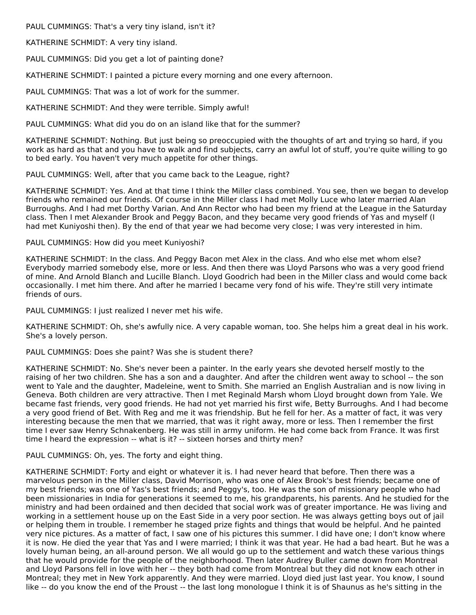PAUL CUMMINGS: That's a very tiny island, isn't it?

KATHERINE SCHMIDT: A very tiny island.

PAUL CUMMINGS: Did you get a lot of painting done?

KATHERINE SCHMIDT: I painted a picture every morning and one every afternoon.

PAUL CUMMINGS: That was a lot of work for the summer.

KATHERINE SCHMIDT: And they were terrible. Simply awful!

PAUL CUMMINGS: What did you do on an island like that for the summer?

KATHERINE SCHMIDT: Nothing. But just being so preoccupied with the thoughts of art and trying so hard, if you work as hard as that and you have to walk and find subjects, carry an awful lot of stuff, you're quite willing to go to bed early. You haven't very much appetite for other things.

PAUL CUMMINGS: Well, after that you came back to the League, right?

KATHERINE SCHMIDT: Yes. And at that time I think the Miller class combined. You see, then we began to develop friends who remained our friends. Of course in the Miller class I had met Molly Luce who later married Alan Burroughs. And I had met Dorthy Varian. And Ann Rector who had been my friend at the League in the Saturday class. Then I met Alexander Brook and Peggy Bacon, and they became very good friends of Yas and myself (I had met Kuniyoshi then). By the end of that year we had become very close; I was very interested in him.

#### PAUL CUMMINGS: How did you meet Kuniyoshi?

KATHERINE SCHMIDT: In the class. And Peggy Bacon met Alex in the class. And who else met whom else? Everybody married somebody else, more or less. And then there was Lloyd Parsons who was a very good friend of mine. And Arnold Blanch and Lucille Blanch. Lloyd Goodrich had been in the Miller class and would come back occasionally. I met him there. And after he married I became very fond of his wife. They're still very intimate friends of ours.

PAUL CUMMINGS: I just realized I never met his wife.

KATHERINE SCHMIDT: Oh, she's awfully nice. A very capable woman, too. She helps him a great deal in his work. She's a lovely person.

PAUL CUMMINGS: Does she paint? Was she is student there?

KATHERINE SCHMIDT: No. She's never been a painter. In the early years she devoted herself mostly to the raising of her two children. She has a son and a daughter. And after the children went away to school -- the son went to Yale and the daughter, Madeleine, went to Smith. She married an English Australian and is now living in Geneva. Both children are very attractive. Then I met Reginald Marsh whom Lloyd brought down from Yale. We became fast friends, very good friends. He had not yet married his first wife, Betty Burroughs. And I had become a very good friend of Bet. With Reg and me it was friendship. But he fell for her. As a matter of fact, it was very interesting because the men that we married, that was it right away, more or less. Then I remember the first time I ever saw Henry Schnakenberg. He was still in army uniform. He had come back from France. It was first time I heard the expression -- what is it? -- sixteen horses and thirty men?

PAUL CUMMINGS: Oh, yes. The forty and eight thing.

KATHERINE SCHMIDT: Forty and eight or whatever it is. I had never heard that before. Then there was a marvelous person in the Miller class, David Morrison, who was one of Alex Brook's best friends; became one of my best friends; was one of Yas's best friends; and Peggy's, too. He was the son of missionary people who had been missionaries in India for generations it seemed to me, his grandparents, his parents. And he studied for the ministry and had been ordained and then decided that social work was of greater importance. He was living and working in a settlement house up on the East Side in a very poor section. He was always getting boys out of jail or helping them in trouble. I remember he staged prize fights and things that would be helpful. And he painted very nice pictures. As a matter of fact, I saw one of his pictures this summer. I did have one; I don't know where it is now. He died the year that Yas and I were married; I think it was that year. He had a bad heart. But he was a lovely human being, an all-around person. We all would go up to the settlement and watch these various things that he would provide for the people of the neighborhood. Then later Audrey Buller came down from Montreal and Lloyd Parsons fell in love with her -- they both had come from Montreal but they did not know each other in Montreal; they met in New York apparently. And they were married. Lloyd died just last year. You know, I sound like -- do you know the end of the Proust -- the last long monologue I think it is of Shaunus as he's sitting in the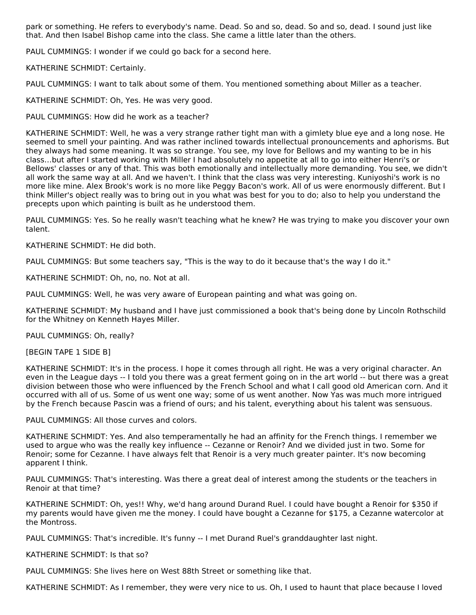park or something. He refers to everybody's name. Dead. So and so, dead. So and so, dead. I sound just like that. And then Isabel Bishop came into the class. She came a little later than the others.

PAUL CUMMINGS: I wonder if we could go back for a second here.

KATHERINE SCHMIDT: Certainly.

PAUL CUMMINGS: I want to talk about some of them. You mentioned something about Miller as a teacher.

KATHERINE SCHMIDT: Oh, Yes. He was very good.

PAUL CUMMINGS: How did he work as a teacher?

KATHERINE SCHMIDT: Well, he was a very strange rather tight man with a gimlety blue eye and a long nose. He seemed to smell your painting. And was rather inclined towards intellectual pronouncements and aphorisms. But they always had some meaning. It was so strange. You see, my love for Bellows and my wanting to be in his class…but after I started working with Miller I had absolutely no appetite at all to go into either Henri's or Bellows' classes or any of that. This was both emotionally and intellectually more demanding. You see, we didn't all work the same way at all. And we haven't. I think that the class was very interesting. Kuniyoshi's work is no more like mine. Alex Brook's work is no more like Peggy Bacon's work. All of us were enormously different. But I think Miller's object really was to bring out in you what was best for you to do; also to help you understand the precepts upon which painting is built as he understood them.

PAUL CUMMINGS: Yes. So he really wasn't teaching what he knew? He was trying to make you discover your own talent.

KATHERINE SCHMIDT: He did both.

PAUL CUMMINGS: But some teachers say, "This is the way to do it because that's the way I do it."

KATHERINE SCHMIDT: Oh, no, no. Not at all.

PAUL CUMMINGS: Well, he was very aware of European painting and what was going on.

KATHERINE SCHMIDT: My husband and I have just commissioned a book that's being done by Lincoln Rothschild for the Whitney on Kenneth Hayes Miller.

PAUL CUMMINGS: Oh, really?

[BEGIN TAPE 1 SIDE B]

KATHERINE SCHMIDT: It's in the process. I hope it comes through all right. He was a very original character. An even in the League days -- I told you there was a great ferment going on in the art world -- but there was a great division between those who were influenced by the French School and what I call good old American corn. And it occurred with all of us. Some of us went one way; some of us went another. Now Yas was much more intrigued by the French because Pascin was a friend of ours; and his talent, everything about his talent was sensuous.

PAUL CUMMINGS: All those curves and colors.

KATHERINE SCHMIDT: Yes. And also temperamentally he had an affinity for the French things. I remember we used to argue who was the really key influence -- Cezanne or Renoir? And we divided just in two. Some for Renoir; some for Cezanne. I have always felt that Renoir is a very much greater painter. It's now becoming apparent I think.

PAUL CUMMINGS: That's interesting. Was there a great deal of interest among the students or the teachers in Renoir at that time?

KATHERINE SCHMIDT: Oh, yes!! Why, we'd hang around Durand Ruel. I could have bought a Renoir for \$350 if my parents would have given me the money. I could have bought a Cezanne for \$175, a Cezanne watercolor at the Montross.

PAUL CUMMINGS: That's incredible. It's funny -- I met Durand Ruel's granddaughter last night.

KATHERINE SCHMIDT: Is that so?

PAUL CUMMINGS: She lives here on West 88th Street or something like that.

KATHERINE SCHMIDT: As I remember, they were very nice to us. Oh, I used to haunt that place because I loved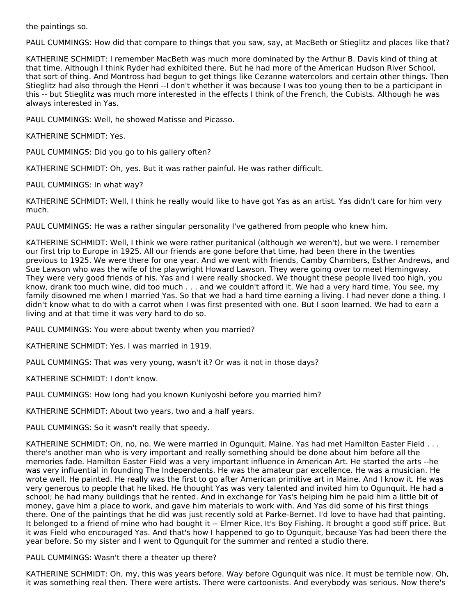the paintings so.

PAUL CUMMINGS: How did that compare to things that you saw, say, at MacBeth or Stieglitz and places like that?

KATHERINE SCHMIDT: I remember MacBeth was much more dominated by the Arthur B. Davis kind of thing at that time. Although I think Ryder had exhibited there. But he had more of the American Hudson River School, that sort of thing. And Montross had begun to get things like Cezanne watercolors and certain other things. Then Stieglitz had also through the Henri --I don't whether it was because I was too young then to be a participant in this -- but Stieglitz was much more interested in the effects I think of the French, the Cubists. Although he was always interested in Yas.

PAUL CUMMINGS: Well, he showed Matisse and Picasso.

KATHERINE SCHMIDT: Yes.

PAUL CUMMINGS: Did you go to his gallery often?

KATHERINE SCHMIDT: Oh, yes. But it was rather painful. He was rather difficult.

PAUL CUMMINGS: In what way?

KATHERINE SCHMIDT: Well, I think he really would like to have got Yas as an artist. Yas didn't care for him very much.

PAUL CUMMINGS: He was a rather singular personality I've gathered from people who knew him.

KATHERINE SCHMIDT: Well, I think we were rather puritanical (although we weren't), but we were. I remember our first trip to Europe in 1925. All our friends are gone before that time, had been there in the twenties previous to 1925. We were there for one year. And we went with friends, Camby Chambers, Esther Andrews, and Sue Lawson who was the wife of the playwright Howard Lawson. They were going over to meet Hemingway. They were very good friends of his. Yas and I were really shocked. We thought these people lived too high, you know, drank too much wine, did too much . . . and we couldn't afford it. We had a very hard time. You see, my family disowned me when I married Yas. So that we had a hard time earning a living. I had never done a thing. I didn't know what to do with a carrot when I was first presented with one. But I soon learned. We had to earn a living and at that time it was very hard to do so.

PAUL CUMMINGS: You were about twenty when you married?

KATHERINE SCHMIDT: Yes. I was married in 1919.

PAUL CUMMINGS: That was very young, wasn't it? Or was it not in those days?

KATHERINE SCHMIDT: I don't know.

PAUL CUMMINGS: How long had you known Kuniyoshi before you married him?

KATHERINE SCHMIDT: About two years, two and a half years.

PAUL CUMMINGS: So it wasn't really that speedy.

KATHERINE SCHMIDT: Oh, no, no. We were married in Ogunquit, Maine. Yas had met Hamilton Easter Field . . . there's another man who is very important and really something should be done about him before all the memories fade. Hamilton Easter Field was a very important influence in American Art. He started the arts --he was very influential in founding The Independents. He was the amateur par excellence. He was a musician. He wrote well. He painted. He really was the first to go after American primitive art in Maine. And I know it. He was very generous to people that he liked. He thought Yas was very talented and invited him to Ogunquit. He had a school; he had many buildings that he rented. And in exchange for Yas's helping him he paid him a little bit of money, gave him a place to work, and gave him materials to work with. And Yas did some of his first things there. One of the paintings that he did was just recently sold at Parke-Bernet. I'd love to have had that painting. It belonged to a friend of mine who had bought it -- Elmer Rice. It's Boy Fishing. It brought a good stiff price. But it was Field who encouraged Yas. And that's how I happened to go to Ogunquit, because Yas had been there the year before. So my sister and I went to Qgunquit for the summer and rented a studio there.

PAUL CUMMINGS: Wasn't there a theater up there?

KATHERINE SCHMIDT: Oh, my, this was years before. Way before Ogunquit was nice. It must be terrible now. Oh, it was something real then. There were artists. There were cartoonists. And everybody was serious. Now there's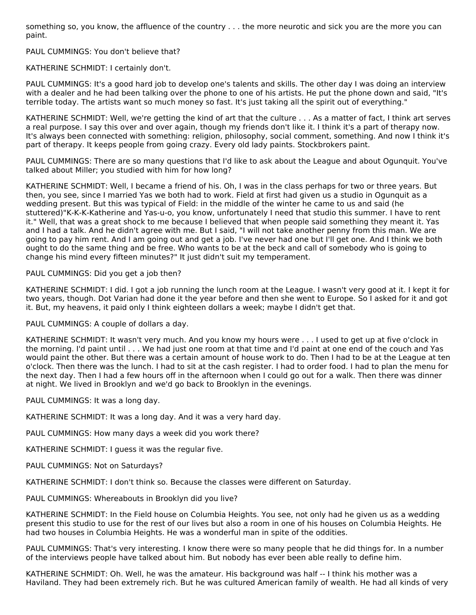something so, you know, the affluence of the country . . . the more neurotic and sick you are the more you can paint.

PAUL CUMMINGS: You don't believe that?

KATHERINE SCHMIDT: I certainly don't.

PAUL CUMMINGS: It's a good hard job to develop one's talents and skills. The other day I was doing an interview with a dealer and he had been talking over the phone to one of his artists. He put the phone down and said, "It's terrible today. The artists want so much money so fast. It's just taking all the spirit out of everything."

KATHERINE SCHMIDT: Well, we're getting the kind of art that the culture . . . As a matter of fact, I think art serves a real purpose. I say this over and over again, though my friends don't like it. I think it's a part of therapy now. It's always been connected with something: religion, philosophy, social comment, something. And now I think it's part of therapy. It keeps people from going crazy. Every old lady paints. Stockbrokers paint.

PAUL CUMMINGS: There are so many questions that I'd like to ask about the League and about Ogunquit. You've talked about Miller; you studied with him for how long?

KATHERINE SCHMIDT: Well, I became a friend of his. Oh, I was in the class perhaps for two or three years. But then, you see, since I married Yas we both had to work. Field at first had given us a studio in Ogunquit as a wedding present. But this was typical of Field: in the middle of the winter he came to us and said (he stuttered)"K-K-K-Katherine and Yas-u-o, you know, unfortunately I need that studio this summer. I have to rent it." Well, that was a great shock to me because I believed that when people said something they meant it. Yas and I had a talk. And he didn't agree with me. But I said, "I will not take another penny from this man. We are going to pay him rent. And I am going out and get a job. I've never had one but I'll get one. And I think we both ought to do the same thing and be free. Who wants to be at the beck and call of somebody who is going to change his mind every fifteen minutes?" It just didn't suit my temperament.

# PAUL CUMMINGS: Did you get a job then?

KATHERINE SCHMIDT: I did. I got a job running the lunch room at the League. I wasn't very good at it. I kept it for two years, though. Dot Varian had done it the year before and then she went to Europe. So I asked for it and got it. But, my heavens, it paid only I think eighteen dollars a week; maybe I didn't get that.

PAUL CUMMINGS: A couple of dollars a day.

KATHERINE SCHMIDT: It wasn't very much. And you know my hours were . . . I used to get up at five o'clock in the morning. I'd paint until . . . We had just one room at that time and I'd paint at one end of the couch and Yas would paint the other. But there was a certain amount of house work to do. Then I had to be at the League at ten o'clock. Then there was the lunch. I had to sit at the cash register. I had to order food. I had to plan the menu for the next day. Then I had a few hours off in the afternoon when I could go out for a walk. Then there was dinner at night. We lived in Brooklyn and we'd go back to Brooklyn in the evenings.

PAUL CUMMINGS: It was a long day.

KATHERINE SCHMIDT: It was a long day. And it was a very hard day.

PAUL CUMMINGS: How many days a week did you work there?

KATHERINE SCHMIDT: I guess it was the regular five.

PAUL CUMMINGS: Not on Saturdays?

KATHERINE SCHMIDT: I don't think so. Because the classes were different on Saturday.

PAUL CUMMINGS: Whereabouts in Brooklyn did you live?

KATHERINE SCHMIDT: In the Field house on Columbia Heights. You see, not only had he given us as a wedding present this studio to use for the rest of our lives but also a room in one of his houses on Columbia Heights. He had two houses in Columbia Heights. He was a wonderful man in spite of the oddities.

PAUL CUMMINGS: That's very interesting. I know there were so many people that he did things for. In a number of the interviews people have talked about him. But nobody has ever been able really to define him.

KATHERINE SCHMIDT: Oh. Well, he was the amateur. His background was half -- I think his mother was a Haviland. They had been extremely rich. But he was cultured American family of wealth. He had all kinds of very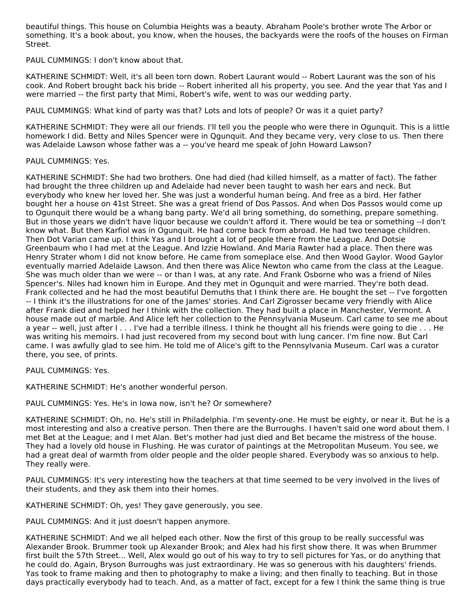beautiful things. This house on Columbia Heights was a beauty. Abraham Poole's brother wrote The Arbor or something. It's a book about, you know, when the houses, the backyards were the roofs of the houses on Firman Street.

PAUL CUMMINGS: I don't know about that.

KATHERINE SCHMIDT: Well, it's all been torn down. Robert Laurant would -- Robert Laurant was the son of his cook. And Robert brought back his bride -- Robert inherited all his property, you see. And the year that Yas and I were married -- the first party that Mimi, Robert's wife, went to was our wedding party.

PAUL CUMMINGS: What kind of party was that? Lots and lots of people? Or was it a quiet party?

KATHERINE SCHMIDT: They were all our friends. I'll tell you the people who were there in Ogunquit. This is a little homework I did. Betty and Niles Spencer were in Qgunquit. And they became very, very close to us. Then there was Adelaide Lawson whose father was a -- you've heard me speak of John Howard Lawson?

#### PAUL CUMMINGS: Yes.

KATHERINE SCHMIDT: She had two brothers. One had died (had killed himself, as a matter of fact). The father had brought the three children up and Adelaide had never been taught to wash her ears and neck. But everybody who knew her loved her. She was just a wonderful human being. And free as a bird. Her father bought her a house on 41st Street. She was a great friend of Dos Passos. And when Dos Passos would come up to Ogunquit there would be a whang bang party. We'd all bring something, do something, prepare something. But in those years we didn't have liquor because we couldn't afford it. There would be tea or something --I don't know what. But then Karfiol was in Ogunquit. He had come back from abroad. He had two teenage children. Then Dot Varian came up. I think Yas and I brought a lot of people there from the League. And Dotsie Greenbaum who I had met at the League. And Izzie Howland. And Maria Rawter had a place. Then there was Henry Strater whom I did not know before. He came from someplace else. And then Wood Gaylor. Wood Gaylor eventually married Adelaide Lawson. And then there was Alice Newton who came from the class at the League. She was much older than we were -- or than I was, at any rate. And Frank Osborne who was a friend of Niles Spencer's. Niles had known him in Europe. And they met in Ogunquit and were married. They're both dead. Frank collected and he had the most beautiful Demuths that I think there are. He bought the set -- I've forgotten -- I think it's the illustrations for one of the James' stories. And Carl Zigrosser became very friendly with Alice after Frank died and helped her I think with the collection. They had built a place in Manchester, Vermont. A house made out of marble. And Alice left her collection to the Pennsylvania Museum. Carl came to see me about a year -- well, just after I . . . I've had a terrible illness. I think he thought all his friends were going to die . . . He was writing his memoirs. I had just recovered from my second bout with lung cancer. I'm fine now. But Carl came. I was awfully glad to see him. He told me of Alice's gift to the Pennsylvania Museum. Carl was a curator there, you see, of prints.

PAUL CUMMINGS: Yes.

KATHERINE SCHMIDT: He's another wonderful person.

PAUL CUMMINGS: Yes. He's in Iowa now, isn't he? Or somewhere?

KATHERINE SCHMIDT: Oh, no. He's still in Philadelphia. I'm seventy-one. He must be eighty, or near it. But he is a most interesting and also a creative person. Then there are the Burroughs. I haven't said one word about them. I met Bet at the League; and I met Alan. Bet's mother had just died and Bet became the mistress of the house. They had a lovely old house in Flushing. He was curator of paintings at the Metropolitan Museum. You see, we had a great deal of warmth from older people and the older people shared. Everybody was so anxious to help. They really were.

PAUL CUMMINGS: It's very interesting how the teachers at that time seemed to be very involved in the lives of their students, and they ask them into their homes.

KATHERINE SCHMIDT: Oh, yes! They gave generously, you see.

PAUL CUMMINGS: And it just doesn't happen anymore.

KATHERINE SCHMIDT: And we all helped each other. Now the first of this group to be really successful was Alexander Brook. Brummer took up Alexander Brook; and Alex had his first show there. It was when Brummer first built the 57th Street... Well, Alex would go out of his way to try to sell pictures for Yas, or do anything that he could do. Again, Bryson Burroughs was just extraordinary. He was so generous with his daughters' friends. Yas took to frame making and then to photography to make a living; and then finally to teaching. But in those days practically everybody had to teach. And, as a matter of fact, except for a few I think the same thing is true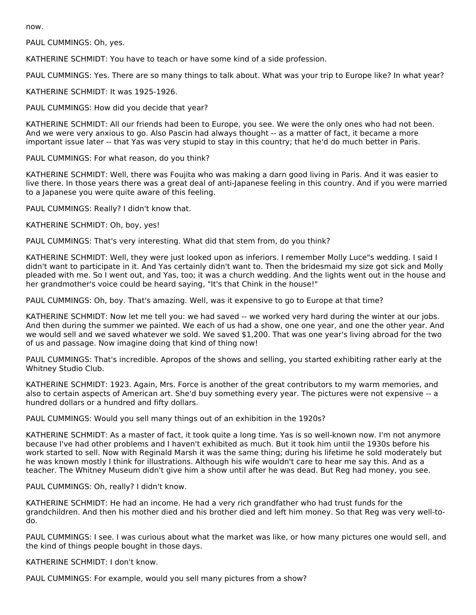now.

PAUL CUMMINGS: Oh, yes.

KATHERINE SCHMIDT: You have to teach or have some kind of a side profession.

PAUL CUMMINGS: Yes. There are so many things to talk about. What was your trip to Europe like? In what year?

KATHERINE SCHMIDT: It was 1925-1926.

PAUL CUMMINGS: How did you decide that year?

KATHERINE SCHMIDT: All our friends had been to Europe, you see. We were the only ones who had not been. And we were very anxious to go. Also Pascin had always thought -- as a matter of fact, it became a more important issue later -- that Yas was very stupid to stay in this country; that he'd do much better in Paris.

PAUL CUMMINGS: For what reason, do you think?

KATHERINE SCHMIDT: Well, there was Foujita who was making a darn good living in Paris. And it was easier to live there. In those years there was a great deal of anti-Japanese feeling in this country. And if you were married to a Japanese you were quite aware of this feeling.

PAUL CUMMINGS: Really? I didn't know that.

KATHERINE SCHMIDT: Oh, boy, yes!

PAUL CUMMINGS: That's very interesting. What did that stem from, do you think?

KATHERINE SCHMIDT: Well, they were just looked upon as inferiors. I remember Molly Luce"s wedding. I said I didn't want to participate in it. And Yas certainly didn't want to. Then the bridesmaid my size got sick and Molly pleaded with me. So I went out, and Yas, too; it was a church wedding. And the lights went out in the house and her grandmother's voice could be heard saying, "It's that Chink in the house!"

PAUL CUMMINGS: Oh, boy. That's amazing. Well, was it expensive to go to Europe at that time?

KATHERINE SCHMIDT: Now let me tell you: we had saved -- we worked very hard during the winter at our jobs. And then during the summer we painted. We each of us had a show, one one year, and one the other year. And we would sell and we saved whatever we sold. We saved \$1,200. That was one year's living abroad for the two of us and passage. Now imagine doing that kind of thing now!

PAUL CUMMINGS: That's incredible. Apropos of the shows and selling, you started exhibiting rather early at the Whitney Studio Club.

KATHERINE SCHMIDT: 1923. Again, Mrs. Force is another of the great contributors to my warm memories, and also to certain aspects of American art. She'd buy something every year. The pictures were not expensive -- a hundred dollars or a hundred and fifty dollars.

PAUL CUMMINGS: Would you sell many things out of an exhibition in the 1920s?

KATHERINE SCHMIDT: As a master of fact, it took quite a long time. Yas is so well-known now. I'm not anymore because I've had other problems and I haven't exhibited as much. But it took him until the 1930s before his work started to sell. Now with Reginald Marsh it was the same thing; during his lifetime he sold moderately but he was known mostly I think for illustrations. Although his wife wouldn't care to hear me say this. And as a teacher. The Whitney Museum didn't give him a show until after he was dead. But Reg had money, you see.

PAUL CUMMINGS: Oh, really? I didn't know.

KATHERINE SCHMIDT: He had an income. He had a very rich grandfather who had trust funds for the grandchildren. And then his mother died and his brother died and left him money. So that Reg was very well-todo.

PAUL CUMMINGS: I see. I was curious about what the market was like, or how many pictures one would sell, and the kind of things people bought in those days.

KATHERINE SCHMIDT: I don't know.

PAUL CUMMINGS: For example, would you sell many pictures from a show?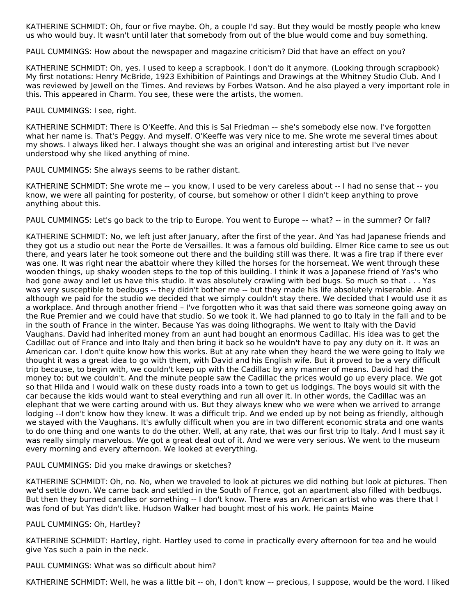KATHERINE SCHMIDT: Oh, four or five maybe. Oh, a couple I'd say. But they would be mostly people who knew us who would buy. It wasn't until later that somebody from out of the blue would come and buy something.

PAUL CUMMINGS: How about the newspaper and magazine criticism? Did that have an effect on you?

KATHERINE SCHMIDT: Oh, yes. I used to keep a scrapbook. I don't do it anymore. (Looking through scrapbook) My first notations: Henry McBride, 1923 Exhibition of Paintings and Drawings at the Whitney Studio Club. And I was reviewed by Jewell on the Times. And reviews by Forbes Watson. And he also played a very important role in this. This appeared in Charm. You see, these were the artists, the women.

PAUL CUMMINGS: I see, right.

KATHERINE SCHMIDT: There is O'Keeffe. And this is Sal Friedman -– she's somebody else now. I've forgotten what her name is. That's Peggy. And myself. O'Keeffe was very nice to me. She wrote me several times about my shows. I always liked her. I always thought she was an original and interesting artist but I've never understood why she liked anything of mine.

PAUL CUMMINGS: She always seems to be rather distant.

KATHERINE SCHMIDT: She wrote me -- you know, I used to be very careless about -- I had no sense that -- you know, we were all painting for posterity, of course, but somehow or other I didn't keep anything to prove anything about this.

PAUL CUMMINGS: Let's go back to the trip to Europe. You went to Europe –- what? -- in the summer? Or fall?

KATHERINE SCHMIDT: No, we left just after January, after the first of the year. And Yas had Japanese friends and they got us a studio out near the Porte de Versailles. It was a famous old building. Elmer Rice came to see us out there, and years later he took someone out there and the building still was there. It was a fire trap if there ever was one. It was right near the abattoir where they killed the horses for the horsemeat. We went through these wooden things, up shaky wooden steps to the top of this building. I think it was a Japanese friend of Yas's who had gone away and let us have this studio. It was absolutely crawling with bed bugs. So much so that . . . Yas was very susceptible to bedbugs -- they didn't bother me -- but they made his life absolutely miserable. And although we paid for the studio we decided that we simply couldn't stay there. We decided that I would use it as a workplace. And through another friend – I've forgotten who it was that said there was someone going away on the Rue Premier and we could have that studio. So we took it. We had planned to go to Italy in the fall and to be in the south of France in the winter. Because Yas was doing lithographs. We went to Italy with the David Vaughans. David had inherited money from an aunt had bought an enormous Cadillac. His idea was to get the Cadillac out of France and into Italy and then bring it back so he wouldn't have to pay any duty on it. It was an American car. I don't quite know how this works. But at any rate when they heard the we were going to Italy we thought it was a great idea to go with them, with David and his English wife. But it proved to be a very difficult trip because, to begin with, we couldn't keep up with the Cadillac by any manner of means. David had the money to; but we couldn't. And the minute people saw the Cadillac the prices would go up every place. We got so that Hilda and I would walk on these dusty roads into a town to get us lodgings. The boys would sit with the car because the kids would want to steal everything and run all over it. In other words, the Cadillac was an elephant that we were carting around with us. But they always knew who we were when we arrived to arrange lodging --I don't know how they knew. It was a difficult trip. And we ended up by not being as friendly, although we stayed with the Vaughans. It's awfully difficult when you are in two different economic strata and one wants to do one thing and one wants to do the other. Well, at any rate, that was our first trip to Italy. And I must say it was really simply marvelous. We got a great deal out of it. And we were very serious. We went to the museum every morning and every afternoon. We looked at everything.

PAUL CUMMINGS: Did you make drawings or sketches?

KATHERINE SCHMIDT: Oh, no. No, when we traveled to look at pictures we did nothing but look at pictures. Then we'd settle down. We came back and settled in the South of France, got an apartment also filled with bedbugs. But then they burned candles or something -- I don't know. There was an American artist who was there that I was fond of but Yas didn't like. Hudson Walker had bought most of his work. He paints Maine

PAUL CUMMINGS: Oh, Hartley?

KATHERINE SCHMIDT: Hartley, right. Hartley used to come in practically every afternoon for tea and he would give Yas such a pain in the neck.

PAUL CUMMINGS: What was so difficult about him?

KATHERINE SCHMIDT: Well, he was a little bit -- oh, I don't know -- precious, I suppose, would be the word. I liked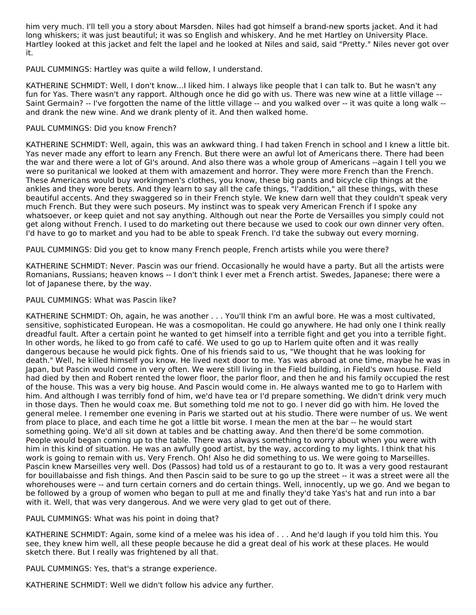him very much. I'll tell you a story about Marsden. Niles had got himself a brand-new sports jacket. And it had long whiskers; it was just beautiful; it was so English and whiskery. And he met Hartley on University Place. Hartley looked at this jacket and felt the lapel and he looked at Niles and said, said "Pretty." Niles never got over it.

PAUL CUMMINGS: Hartley was quite a wild fellow, I understand.

KATHERINE SCHMIDT: Well, I don't know...I liked him. I always like people that I can talk to. But he wasn't any fun for Yas. There wasn't any rapport. Although once he did go with us. There was new wine at a little village –- Saint Germain? -- I've forgotten the name of the little village -- and you walked over -- it was quite a long walk - and drank the new wine. And we drank plenty of it. And then walked home.

# PAUL CUMMINGS: Did you know French?

KATHERINE SCHMIDT: Well, again, this was an awkward thing. I had taken French in school and I knew a little bit. Yas never made any effort to learn any French. But there were an awful lot of Americans there. There had been the war and there were a lot of GI's around. And also there was a whole group of Americans --again I tell you we were so puritanical we looked at them with amazement and horror. They were more French than the French. These Americans would buy workingmen's clothes, you know, these big pants and bicycle clip things at the ankles and they wore berets. And they learn to say all the cafe things, "l'addition," all these things, with these beautiful accents. And they swaggered so in their French style. We knew darn well that they couldn't speak very much French. But they were such poseurs. My instinct was to speak very American French if I spoke any whatsoever, or keep quiet and not say anything. Although out near the Porte de Versailles you simply could not get along without French. I used to do marketing out there because we used to cook our own dinner very often. I'd have to go to market and you had to be able to speak French. I'd take the subway out every morning.

PAUL CUMMINGS: Did you get to know many French people, French artists while you were there?

KATHERINE SCHMIDT: Never. Pascin was our friend. Occasionally he would have a party. But all the artists were Romanians, Russians; heaven knows -- I don't think I ever met a French artist. Swedes, Japanese; there were a lot of Japanese there, by the way.

#### PAUL CUMMINGS: What was Pascin like?

KATHERINE SCHMIDT: Oh, again, he was another . . . You'll think I'm an awful bore. He was a most cultivated, sensitive, sophisticated European. He was a cosmopolitan. He could go anywhere. He had only one I think really dreadful fault. After a certain point he wanted to get himself into a terrible fight and get you into a terrible fight. In other words, he liked to go from café to café. We used to go up to Harlem quite often and it was really dangerous because he would pick fights. One of his friends said to us, "We thought that he was looking for death." Well, he killed himself you know. He lived next door to me. Yas was abroad at one time, maybe he was in Japan, but Pascin would come in very often. We were still living in the Field building, in Field's own house. Field had died by then and Robert rented the lower floor, the parlor floor, and then he and his family occupied the rest of the house. This was a very big house. And Pascin would come in. He always wanted me to go to Harlem with him. And although I was terribly fond of him, we'd have tea or I'd prepare something. We didn't drink very much in those days. Then he would coax me. But something told me not to go. I never did go with him. He loved the general melee. I remember one evening in Paris we started out at his studio. There were number of us. We went from place to place, and each time he got a little bit worse. I mean the men at the bar -- he would start something going. We'd all sit down at tables and be chatting away. And then there'd be some commotion. People would began coming up to the table. There was always something to worry about when you were with him in this kind of situation. He was an awfully good artist, by the way, according to my lights. I think that his work is going to remain with us. Very French. Oh! Also he did something to us. We were going to Marseilles. Pascin knew Marseilles very well. Dos (Passos) had told us of a restaurant to go to. It was a very good restaurant for bouillabaisse and fish things. And then Pascin said to be sure to go up the street -- it was a street were all the whorehouses were -- and turn certain corners and do certain things. Well, innocently, up we go. And we began to be followed by a group of women who began to pull at me and finally they'd take Yas's hat and run into a bar with it. Well, that was very dangerous. And we were very glad to get out of there.

PAUL CUMMINGS: What was his point in doing that?

KATHERINE SCHMIDT: Again, some kind of a melee was his idea of . . . And he'd laugh if you told him this. You see, they knew him well, all these people because he did a great deal of his work at these places. He would sketch there. But I really was frightened by all that.

PAUL CUMMINGS: Yes, that's a strange experience.

KATHERINE SCHMIDT: Well we didn't follow his advice any further.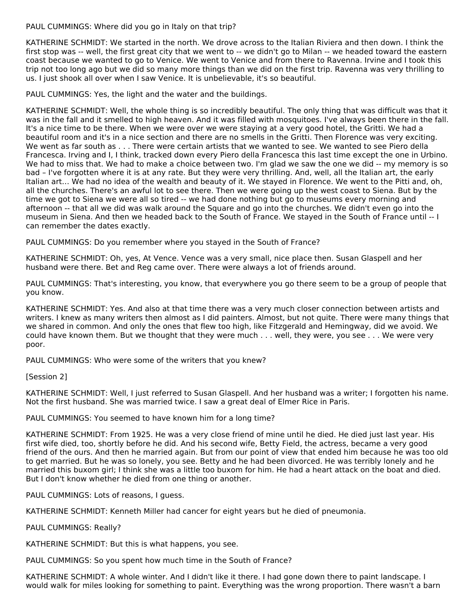PAUL CUMMINGS: Where did you go in Italy on that trip?

KATHERINE SCHMIDT: We started in the north. We drove across to the Italian Riviera and then down. I think the first stop was -- well, the first great city that we went to -- we didn't go to Milan -- we headed toward the eastern coast because we wanted to go to Venice. We went to Venice and from there to Ravenna. Irvine and I took this trip not too long ago but we did so many more things than we did on the first trip. Ravenna was very thrilling to us. I just shook all over when I saw Venice. It is unbelievable, it's so beautiful.

PAUL CUMMINGS: Yes, the light and the water and the buildings.

KATHERINE SCHMIDT: Well, the whole thing is so incredibly beautiful. The only thing that was difficult was that it was in the fall and it smelled to high heaven. And it was filled with mosquitoes. I've always been there in the fall. It's a nice time to be there. When we were over we were staying at a very good hotel, the Gritti. We had a beautiful room and it's in a nice section and there are no smells in the Gritti. Then Florence was very exciting. We went as far south as . . . There were certain artists that we wanted to see. We wanted to see Piero della Francesca. Irving and I, I think, tracked down every Piero della Francesca this last time except the one in Urbino. We had to miss that. We had to make a choice between two. I'm glad we saw the one we did -- my memory is so bad – I've forgotten where it is at any rate. But they were very thrilling. And, well, all the Italian art, the early Italian art… We had no idea of the wealth and beauty of it. We stayed in Florence. We went to the Pitti and, oh, all the churches. There's an awful lot to see there. Then we were going up the west coast to Siena. But by the time we got to Siena we were all so tired -- we had done nothing but go to museums every morning and afternoon -- that all we did was walk around the Square and go into the churches. We didn't even go into the museum in Siena. And then we headed back to the South of France. We stayed in the South of France until -- I can remember the dates exactly.

PAUL CUMMINGS: Do you remember where you stayed in the South of France?

KATHERINE SCHMIDT: Oh, yes, At Vence. Vence was a very small, nice place then. Susan Glaspell and her husband were there. Bet and Reg came over. There were always a lot of friends around.

PAUL CUMMINGS: That's interesting, you know, that everywhere you go there seem to be a group of people that you know.

KATHERINE SCHMIDT: Yes. And also at that time there was a very much closer connection between artists and writers. I knew as many writers then almost as I did painters. Almost, but not quite. There were many things that we shared in common. And only the ones that flew too high, like Fitzgerald and Hemingway, did we avoid. We could have known them. But we thought that they were much . . . well, they were, you see . . . We were very poor.

PAUL CUMMINGS: Who were some of the writers that you knew?

[Session 2]

KATHERINE SCHMIDT: Well, I just referred to Susan Glaspell. And her husband was a writer; I forgotten his name. Not the first husband. She was married twice. I saw a great deal of Elmer Rice in Paris.

PAUL CUMMINGS: You seemed to have known him for a long time?

KATHERINE SCHMIDT: From 1925. He was a very close friend of mine until he died. He died just last year. His first wife died, too, shortly before he did. And his second wife, Betty Field, the actress, became a very good friend of the ours. And then he married again. But from our point of view that ended him because he was too old to get married. But he was so lonely, you see. Betty and he had been divorced. He was terribly lonely and he married this buxom girl; I think she was a little too buxom for him. He had a heart attack on the boat and died. But I don't know whether he died from one thing or another.

PAUL CUMMINGS: Lots of reasons, I guess.

KATHERINE SCHMIDT: Kenneth Miller had cancer for eight years but he died of pneumonia.

PAUL CUMMINGS: Really?

KATHERINE SCHMIDT: But this is what happens, you see.

PAUL CUMMINGS: So you spent how much time in the South of France?

KATHERINE SCHMIDT: A whole winter. And I didn't like it there. I had gone down there to paint landscape. I would walk for miles looking for something to paint. Everything was the wrong proportion. There wasn't a barn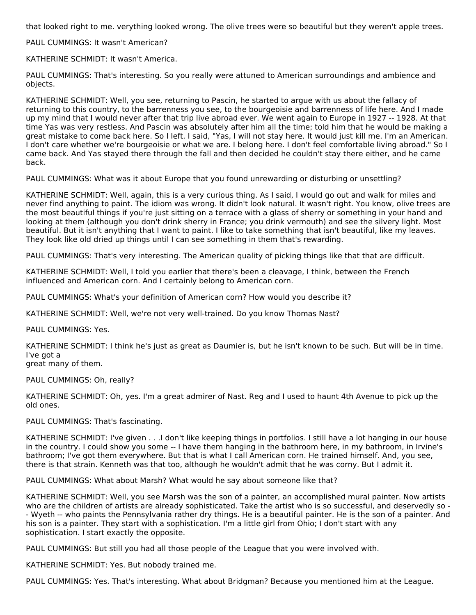that looked right to me. verything looked wrong. The olive trees were so beautiful but they weren't apple trees.

PAUL CUMMINGS: It wasn't American?

KATHERINE SCHMIDT: It wasn't America.

PAUL CUMMINGS: That's interesting. So you really were attuned to American surroundings and ambience and objects.

KATHERINE SCHMIDT: Well, you see, returning to Pascin, he started to argue with us about the fallacy of returning to this country, to the barrenness you see, to the bourgeoisie and barrenness of life here. And I made up my mind that I would never after that trip live abroad ever. We went again to Europe in 1927 -- 1928. At that time Yas was very restless. And Pascin was absolutely after him all the time; told him that he would be making a great mistake to come back here. So I left. I said, "Yas, I will not stay here. It would just kill me. I'm an American. I don't care whether we're bourgeoisie or what we are. I belong here. I don't feel comfortable living abroad." So I came back. And Yas stayed there through the fall and then decided he couldn't stay there either, and he came back.

PAUL CUMMINGS: What was it about Europe that you found unrewarding or disturbing or unsettling?

KATHERINE SCHMIDT: Well, again, this is a very curious thing. As I said, I would go out and walk for miles and never find anything to paint. The idiom was wrong. It didn't look natural. It wasn't right. You know, olive trees are the most beautiful things if you're just sitting on a terrace with a glass of sherry or something in your hand and looking at them (although you don't drink sherry in France; you drink vermouth) and see the silvery light. Most beautiful. But it isn't anything that I want to paint. I like to take something that isn't beautiful, like my leaves. They look like old dried up things until I can see something in them that's rewarding.

PAUL CUMMINGS: That's very interesting. The American quality of picking things like that that are difficult.

KATHERINE SCHMIDT: Well, I told you earlier that there's been a cleavage, I think, between the French influenced and American corn. And I certainly belong to American corn.

PAUL CUMMINGS: What's your definition of American corn? How would you describe it?

KATHERINE SCHMIDT: Well, we're not very well-trained. Do you know Thomas Nast?

PAUL CUMMINGS: Yes.

KATHERINE SCHMIDT: I think he's just as great as Daumier is, but he isn't known to be such. But will be in time. I've got a

great many of them.

PAUL CUMMINGS: Oh, really?

KATHERINE SCHMIDT: Oh, yes. I'm a great admirer of Nast. Reg and I used to haunt 4th Avenue to pick up the old ones.

PAUL CUMMINGS: That's fascinating.

KATHERINE SCHMIDT: I've given . . .I don't like keeping things in portfolios. I still have a lot hanging in our house in the country. I could show you some -- I have them hanging in the bathroom here, in my bathroom, in Irvine's bathroom; I've got them everywhere. But that is what I call American corn. He trained himself. And, you see, there is that strain. Kenneth was that too, although he wouldn't admit that he was corny. But I admit it.

PAUL CUMMINGS: What about Marsh? What would he say about someone like that?

KATHERINE SCHMIDT: Well, you see Marsh was the son of a painter, an accomplished mural painter. Now artists who are the children of artists are already sophisticated. Take the artist who is so successful, and deservedly so - - Wyeth -- who paints the Pennsylvania rather dry things. He is a beautiful painter. He is the son of a painter. And his son is a painter. They start with a sophistication. I'm a little girl from Ohio; I don't start with any sophistication. I start exactly the opposite.

PAUL CUMMINGS: But still you had all those people of the League that you were involved with.

KATHERINE SCHMIDT: Yes. But nobody trained me.

PAUL CUMMINGS: Yes. That's interesting. What about Bridgman? Because you mentioned him at the League.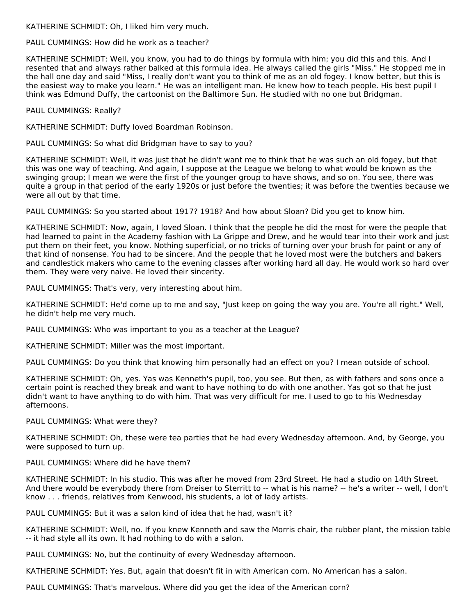KATHERINE SCHMIDT: Oh, I liked him very much.

PAUL CUMMINGS: How did he work as a teacher?

KATHERINE SCHMIDT: Well, you know, you had to do things by formula with him; you did this and this. And I resented that and always rather balked at this formula idea. He always called the girls "Miss." He stopped me in the hall one day and said "Miss, I really don't want you to think of me as an old fogey. I know better, but this is the easiest way to make you learn." He was an intelligent man. He knew how to teach people. His best pupil I think was Edmund Duffy, the cartoonist on the Baltimore Sun. He studied with no one but Bridgman.

PAUL CUMMINGS: Really?

KATHERINE SCHMIDT: Duffy loved Boardman Robinson.

PAUL CUMMINGS: So what did Bridgman have to say to you?

KATHERINE SCHMIDT: Well, it was just that he didn't want me to think that he was such an old fogey, but that this was one way of teaching. And again, I suppose at the League we belong to what would be known as the swinging group; I mean we were the first of the younger group to have shows, and so on. You see, there was quite a group in that period of the early 1920s or just before the twenties; it was before the twenties because we were all out by that time.

PAUL CUMMINGS: So you started about 1917? 1918? And how about Sloan? Did you get to know him.

KATHERINE SCHMIDT: Now, again, I loved Sloan. I think that the people he did the most for were the people that had learned to paint in the Academy fashion with La Grippe and Drew, and he would tear into their work and just put them on their feet, you know. Nothing superficial, or no tricks of turning over your brush for paint or any of that kind of nonsense. You had to be sincere. And the people that he loved most were the butchers and bakers and candlestick makers who came to the evening classes after working hard all day. He would work so hard over them. They were very naive. He loved their sincerity.

PAUL CUMMINGS: That's very, very interesting about him.

KATHERINE SCHMIDT: He'd come up to me and say, "Just keep on going the way you are. You're all right." Well, he didn't help me very much.

PAUL CUMMINGS: Who was important to you as a teacher at the League?

KATHERINE SCHMIDT: Miller was the most important.

PAUL CUMMINGS: Do you think that knowing him personally had an effect on you? I mean outside of school.

KATHERINE SCHMIDT: Oh, yes. Yas was Kenneth's pupil, too, you see. But then, as with fathers and sons once a certain point is reached they break and want to have nothing to do with one another. Yas got so that he just didn't want to have anything to do with him. That was very difficult for me. I used to go to his Wednesday afternoons.

PAUL CUMMINGS: What were they?

KATHERINE SCHMIDT: Oh, these were tea parties that he had every Wednesday afternoon. And, by George, you were supposed to turn up.

PAUL CUMMINGS: Where did he have them?

KATHERINE SCHMIDT: In his studio. This was after he moved from 23rd Street. He had a studio on 14th Street. And there would be everybody there from Dreiser to Sterritt to -- what is his name? -- he's a writer -- well, I don't know . . . friends, relatives from Kenwood, his students, a lot of lady artists.

PAUL CUMMINGS: But it was a salon kind of idea that he had, wasn't it?

KATHERINE SCHMIDT: Well, no. If you knew Kenneth and saw the Morris chair, the rubber plant, the mission table -- it had style all its own. It had nothing to do with a salon.

PAUL CUMMINGS: No, but the continuity of every Wednesday afternoon.

KATHERINE SCHMIDT: Yes. But, again that doesn't fit in with American corn. No American has a salon.

PAUL CUMMINGS: That's marvelous. Where did you get the idea of the American corn?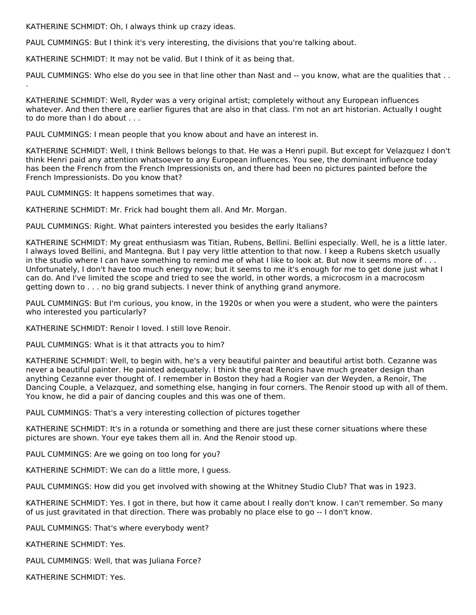KATHERINE SCHMIDT: Oh, I always think up crazy ideas.

PAUL CUMMINGS: But I think it's very interesting, the divisions that you're talking about.

KATHERINE SCHMIDT: It may not be valid. But I think of it as being that.

PAUL CUMMINGS: Who else do you see in that line other than Nast and -- you know, what are the qualities that ...

KATHERINE SCHMIDT: Well, Ryder was a very original artist; completely without any European influences whatever. And then there are earlier figures that are also in that class. I'm not an art historian. Actually I ought to do more than I do about . . .

PAUL CUMMINGS: I mean people that you know about and have an interest in.

KATHERINE SCHMIDT: Well, I think Bellows belongs to that. He was a Henri pupil. But except for Velazquez I don't think Henri paid any attention whatsoever to any European influences. You see, the dominant influence today has been the French from the French Impressionists on, and there had been no pictures painted before the French Impressionists. Do you know that?

PAUL CUMMINGS: It happens sometimes that way.

.

KATHERINE SCHMIDT: Mr. Frick had bought them all. And Mr. Morgan.

PAUL CUMMINGS: Right. What painters interested you besides the early Italians?

KATHERINE SCHMIDT: My great enthusiasm was Titian, Rubens, Bellini. Bellini especially. Well, he is a little later. I always loved Bellini, and Mantegna. But I pay very little attention to that now. I keep a Rubens sketch usually in the studio where I can have something to remind me of what I like to look at. But now it seems more of . . . Unfortunately, I don't have too much energy now; but it seems to me it's enough for me to get done just what I can do. And I've limited the scope and tried to see the world, in other words, a microcosm in a macrocosm getting down to . . . no big grand subjects. I never think of anything grand anymore.

PAUL CUMMINGS: But I'm curious, you know, in the 1920s or when you were a student, who were the painters who interested you particularly?

KATHERINE SCHMIDT: Renoir I loved. I still love Renoir.

PAUL CUMMINGS: What is it that attracts you to him?

KATHERINE SCHMIDT: Well, to begin with, he's a very beautiful painter and beautiful artist both. Cezanne was never a beautiful painter. He painted adequately. I think the great Renoirs have much greater design than anything Cezanne ever thought of. I remember in Boston they had a Rogier van der Weyden, a Renoir, The Dancing Couple, a Velazquez, and something else, hanging in four corners. The Renoir stood up with all of them. You know, he did a pair of dancing couples and this was one of them.

PAUL CUMMINGS: That's a very interesting collection of pictures together

KATHERINE SCHMIDT: It's in a rotunda or something and there are just these corner situations where these pictures are shown. Your eye takes them all in. And the Renoir stood up.

PAUL CUMMINGS: Are we going on too long for you?

KATHERINE SCHMIDT: We can do a little more, I guess.

PAUL CUMMINGS: How did you get involved with showing at the Whitney Studio Club? That was in 1923.

KATHERINE SCHMIDT: Yes. I got in there, but how it came about I really don't know. I can't remember. So many of us just gravitated in that direction. There was probably no place else to go -- I don't know.

PAUL CUMMINGS: That's where everybody went?

KATHERINE SCHMIDT: Yes.

PAUL CUMMINGS: Well, that was Juliana Force?

KATHERINE SCHMIDT: Yes.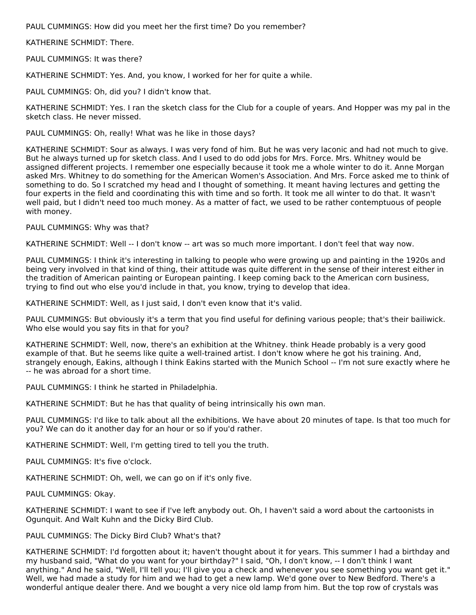PAUL CUMMINGS: How did you meet her the first time? Do you remember?

KATHERINE SCHMIDT: There.

PAUL CUMMINGS: It was there?

KATHERINE SCHMIDT: Yes. And, you know, I worked for her for quite a while.

PAUL CUMMINGS: Oh, did you? I didn't know that.

KATHERINE SCHMIDT: Yes. I ran the sketch class for the Club for a couple of years. And Hopper was my pal in the sketch class. He never missed.

PAUL CUMMINGS: Oh, really! What was he like in those days?

KATHERINE SCHMIDT: Sour as always. I was very fond of him. But he was very laconic and had not much to give. But he always turned up for sketch class. And I used to do odd jobs for Mrs. Force. Mrs. Whitney would be assigned different projects. I remember one especially because it took me a whole winter to do it. Anne Morgan asked Mrs. Whitney to do something for the American Women's Association. And Mrs. Force asked me to think of something to do. So I scratched my head and I thought of something. It meant having lectures and getting the four experts in the field and coordinating this with time and so forth. It took me all winter to do that. It wasn't well paid, but I didn't need too much money. As a matter of fact, we used to be rather contemptuous of people with money.

PAUL CUMMINGS: Why was that?

KATHERINE SCHMIDT: Well -- I don't know -- art was so much more important. I don't feel that way now.

PAUL CUMMINGS: I think it's interesting in talking to people who were growing up and painting in the 1920s and being very involved in that kind of thing, their attitude was quite different in the sense of their interest either in the tradition of American painting or European painting. I keep coming back to the American corn business, trying to find out who else you'd include in that, you know, trying to develop that idea.

KATHERINE SCHMIDT: Well, as I just said, I don't even know that it's valid.

PAUL CUMMINGS: But obviously it's a term that you find useful for defining various people; that's their bailiwick. Who else would you say fits in that for you?

KATHERINE SCHMIDT: Well, now, there's an exhibition at the Whitney. think Heade probably is a very good example of that. But he seems like quite a well-trained artist. I don't know where he got his training. And, strangely enough, Eakins, although I think Eakins started with the Munich School -- I'm not sure exactly where he -- he was abroad for a short time.

PAUL CUMMINGS: I think he started in Philadelphia.

KATHERINE SCHMIDT: But he has that quality of being intrinsically his own man.

PAUL CUMMINGS: I'd like to talk about all the exhibitions. We have about 20 minutes of tape. Is that too much for you? We can do it another day for an hour or so if you'd rather.

KATHERINE SCHMIDT: Well, I'm getting tired to tell you the truth.

PAUL CUMMINGS: It's five o'clock.

KATHERINE SCHMIDT: Oh, well, we can go on if it's only five.

PAUL CUMMINGS: Okay.

KATHERINE SCHMIDT: I want to see if I've left anybody out. Oh, I haven't said a word about the cartoonists in Ogunquit. And Walt Kuhn and the Dicky Bird Club.

PAUL CUMMINGS: The Dicky Bird Club? What's that?

KATHERINE SCHMIDT: I'd forgotten about it; haven't thought about it for years. This summer I had a birthday and my husband said, "What do you want for your birthday?" I said, "Oh, I don't know, -- I don't think I want anything." And he said, "Well, I'll tell you; I'll give you a check and whenever you see something you want get it." Well, we had made a study for him and we had to get a new lamp. We'd gone over to New Bedford. There's a wonderful antique dealer there. And we bought a very nice old lamp from him. But the top row of crystals was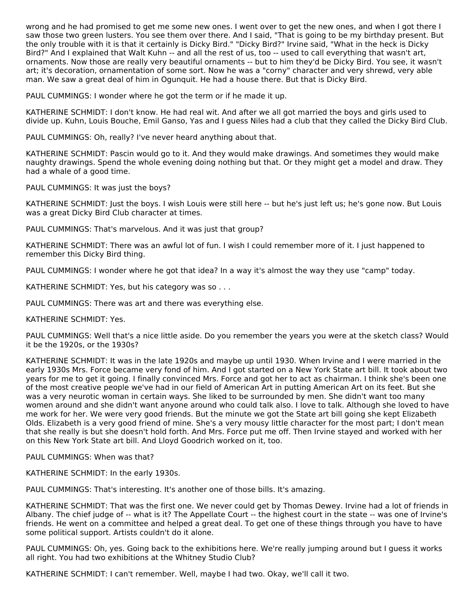wrong and he had promised to get me some new ones. I went over to get the new ones, and when I got there I saw those two green lusters. You see them over there. And I said, "That is going to be my birthday present. But the only trouble with it is that it certainly is Dicky Bird." "Dicky Bird?" Irvine said, "What in the heck is Dicky Bird?" And I explained that Walt Kuhn -- and all the rest of us, too -- used to call everything that wasn't art, ornaments. Now those are really very beautiful ornaments -- but to him they'd be Dicky Bird. You see, it wasn't art; it's decoration, ornamentation of some sort. Now he was a "corny" character and very shrewd, very able man. We saw a great deal of him in Ogunquit. He had a house there. But that is Dicky Bird.

PAUL CUMMINGS: I wonder where he got the term or if he made it up.

KATHERINE SCHMIDT: I don't know. He had real wit. And after we all got married the boys and girls used to divide up. Kuhn, Louis Bouche, Emil Ganso, Yas and I guess Niles had a club that they called the Dicky Bird Club.

PAUL CUMMINGS: Oh, really? I've never heard anything about that.

KATHERINE SCHMIDT: Pascin would go to it. And they would make drawings. And sometimes they would make naughty drawings. Spend the whole evening doing nothing but that. Or they might get a model and draw. They had a whale of a good time.

PAUL CUMMINGS: It was just the boys?

KATHERINE SCHMIDT: Just the boys. I wish Louis were still here -- but he's just left us; he's gone now. But Louis was a great Dicky Bird Club character at times.

PAUL CUMMINGS: That's marvelous. And it was just that group?

KATHERINE SCHMIDT: There was an awful lot of fun. I wish I could remember more of it. I just happened to remember this Dicky Bird thing.

PAUL CUMMINGS: I wonder where he got that idea? In a way it's almost the way they use "camp" today.

KATHERINE SCHMIDT: Yes, but his category was so . . .

PAUL CUMMINGS: There was art and there was everything else.

KATHERINE SCHMIDT: Yes.

PAUL CUMMINGS: Well that's a nice little aside. Do you remember the years you were at the sketch class? Would it be the 1920s, or the 1930s?

KATHERINE SCHMIDT: It was in the late 1920s and maybe up until 1930. When Irvine and I were married in the early 1930s Mrs. Force became very fond of him. And I got started on a New York State art bill. It took about two years for me to get it going. I finally convinced Mrs. Force and got her to act as chairman. I think she's been one of the most creative people we've had in our field of American Art in putting American Art on its feet. But she was a very neurotic woman in certain ways. She liked to be surrounded by men. She didn't want too many women around and she didn't want anyone around who could talk also. I love to talk. Although she loved to have me work for her. We were very good friends. But the minute we got the State art bill going she kept Elizabeth Olds. Elizabeth is a very good friend of mine. She's a very mousy little character for the most part; I don't mean that she really is but she doesn't hold forth. And Mrs. Force put me off. Then Irvine stayed and worked with her on this New York State art bill. And Lloyd Goodrich worked on it, too.

PAUL CUMMINGS: When was that?

KATHERINE SCHMIDT: In the early 1930s.

PAUL CUMMINGS: That's interesting. It's another one of those bills. It's amazing.

KATHERINE SCHMIDT: That was the first one. We never could get by Thomas Dewey. Irvine had a lot of friends in Albany. The chief judge of -- what is it? The Appellate Court -- the highest court in the state -- was one of Irvine's friends. He went on a committee and helped a great deal. To get one of these things through you have to have some political support. Artists couldn't do it alone.

PAUL CUMMINGS: Oh, yes. Going back to the exhibitions here. We're really jumping around but I guess it works all right. You had two exhibitions at the Whitney Studio Club?

KATHERINE SCHMIDT: I can't remember. Well, maybe I had two. Okay, we'll call it two.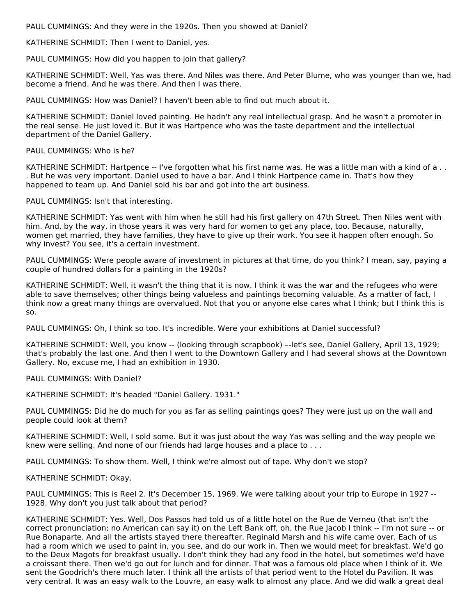PAUL CUMMINGS: And they were in the 1920s. Then you showed at Daniel?

KATHERINE SCHMIDT: Then I went to Daniel, yes.

PAUL CUMMINGS: How did you happen to join that gallery?

KATHERINE SCHMIDT: Well, Yas was there. And Niles was there. And Peter Blume, who was younger than we, had become a friend. And he was there. And then I was there.

PAUL CUMMINGS: How was Daniel? I haven't been able to find out much about it.

KATHERINE SCHMIDT: Daniel loved painting. He hadn't any real intellectual grasp. And he wasn't a promoter in the real sense. He just loved it. But it was Hartpence who was the taste department and the intellectual department of the Daniel Gallery.

PAUL CUMMINGS: Who is he?

KATHERINE SCHMIDT: Hartpence -- I've forgotten what his first name was. He was a little man with a kind of a .. . But he was very important. Daniel used to have a bar. And I think Hartpence came in. That's how they happened to team up. And Daniel sold his bar and got into the art business.

PAUL CUMMINGS: Isn't that interesting.

KATHERINE SCHMIDT: Yas went with him when he still had his first gallery on 47th Street. Then Niles went with him. And, by the way, in those years it was very hard for women to get any place, too. Because, naturally, women get married, they have families, they have to give up their work. You see it happen often enough. So why invest? You see, it's a certain investment.

PAUL CUMMINGS: Were people aware of investment in pictures at that time, do you think? I mean, say, paying a couple of hundred dollars for a painting in the 1920s?

KATHERINE SCHMIDT: Well, it wasn't the thing that it is now. I think it was the war and the refugees who were able to save themselves; other things being valueless and paintings becoming valuable. As a matter of fact, I think now a great many things are overvalued. Not that you or anyone else cares what I think; but I think this is so.

PAUL CUMMINGS: Oh, I think so too. It's incredible. Were your exhibitions at Daniel successful?

KATHERINE SCHMIDT: Well, you know -- (looking through scrapbook) --let's see, Daniel Gallery, April 13, 1929; that's probably the last one. And then I went to the Downtown Gallery and I had several shows at the Downtown Gallery. No, excuse me, I had an exhibition in 1930.

PAUL CUMMINGS: With Daniel?

KATHERINE SCHMIDT: It's headed "Daniel Gallery. 1931."

PAUL CUMMINGS: Did he do much for you as far as selling paintings goes? They were just up on the wall and people could look at them?

KATHERINE SCHMIDT: Well, I sold some. But it was just about the way Yas was selling and the way people we knew were selling. And none of our friends had large houses and a place to . . .

PAUL CUMMINGS: To show them. Well, I think we're almost out of tape. Why don't we stop?

KATHERINE SCHMIDT: Okay.

PAUL CUMMINGS: This is Reel 2. It's December 15, 1969. We were talking about your trip to Europe in 1927 -- 1928. Why don't you just talk about that period?

KATHERINE SCHMIDT: Yes. Well, Dos Passos had told us of a little hotel on the Rue de Verneu (that isn't the correct pronunciation; no American can say it) on the Left Bank off, oh, the Rue Jacob I think -- I'm not sure -- or Rue Bonaparte. And all the artists stayed there thereafter. Reginald Marsh and his wife came over. Each of us had a room which we used to paint in, you see, and do our work in. Then we would meet for breakfast. We'd go to the Deux Magots for breakfast usually. I don't think they had any food in the hotel, but sometimes we'd have a croissant there. Then we'd go out for lunch and for dinner. That was a famous old place when I think of it. We sent the Goodrich's there much later. I think all the artists of that period went to the Hotel du Pavilion. It was very central. It was an easy walk to the Louvre, an easy walk to almost any place. And we did walk a great deal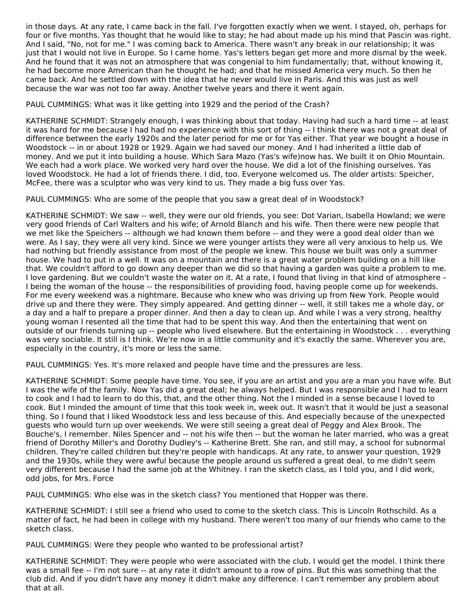in those days. At any rate, I came back in the fall. I've forgotten exactly when we went. I stayed, oh, perhaps for four or five months. Yas thought that he would like to stay; he had about made up his mind that Pascin was right. And I said, "No, not for me." I was coming back to America. There wasn't any break in our relationship; it was just that I would not live in Europe. So I came home. Yas's letters began get more and more dismal by the week. And he found that it was not an atmosphere that was congenial to him fundamentally; that, without knowing it, he had become more American than he thought he had; and that he missed America very much. So then he came back. And he settled down with the idea that he never would live in Paris. And this was just as well because the war was not too far away. Another twelve years and there it went again.

PAUL CUMMINGS: What was it like getting into 1929 and the period of the Crash?

KATHERINE SCHMIDT: Strangely enough, I was thinking about that today. Having had such a hard time -- at least it was hard for me because I had had no experience with this sort of thing -- I think there was not a great deal of difference between the early 1920s and the later period for me or for Yas either. That year we bought a house in Woodstock -- in or about 1928 or 1929. Again we had saved our money. And I had inherited a little dab of money. And we put it into building a house. Which Sara Mazo (Yas's wife)now has. We built it on Ohio Mountain. We each had a work place. We worked very hard over the house. We did a lot of the finishing ourselves. Yas loved Woodstock. He had a lot of friends there. I did, too. Everyone welcomed us. The older artists: Speicher, McFee, there was a sculptor who was very kind to us. They made a big fuss over Yas.

PAUL CUMMINGS: Who are some of the people that you saw a great deal of in Woodstock?

KATHERINE SCHMIDT: We saw -- well, they were our old friends, you see: Dot Varian, Isabella Howland; we were very good friends of Carl Walters and his wife; of Arnold Blanch and his wife. Then there were new people that we met like the Speichers -- although we had known them before -- and they were a good deal older than we were. As I say, they were all very kind. Since we were younger artists they were all very anxious to help us. We had nothing but friendly assistance from most of the people we knew. This house we built was only a summer house. We had to put in a well. It was on a mountain and there is a great water problem building on a hill like that. We couldn't afford to go down any deeper than we did so that having a garden was quite a problem to me. I love gardening. But we couldn't waste the water on it. At a rate, I found that living in that kind of atmosphere – I being the woman of the house -- the responsibilities of providing food, having people come up for weekends. For me every weekend was a nightmare. Because who knew who was driving up from New York. People would drive up and there they were. They simply appeared. And getting dinner -- well, it still takes me a whole day, or a day and a half to prepare a proper dinner. And then a day to clean up. And while I was a very strong, healthy young woman I resented all the time that had to be spent this way. And then the entertaining that went on outside of our friends turning up -- people who lived elsewhere. But the entertaining in Woodstock . . . everything was very sociable. It still is I think. We're now in a little community and it's exactly the same. Wherever you are, especially in the country, it's more or less the same.

PAUL CUMMINGS: Yes. It's more relaxed and people have time and the pressures are less.

KATHERINE SCHMIDT: Some people have time. You see, if you are an artist and you are a man you have wife. But I was the wife of the family. Now Yas did a great deal; he always helped. But I was responsible and I had to learn to cook and I had to learn to do this, that, and the other thing. Not the I minded in a sense because I loved to cook. But I minded the amount of time that this took week in, week out. It wasn't that it would be just a seasonal thing. So I found that I liked Woodstock less and less because of this. And especially because of the unexpected guests who would turn up over weekends. We were still seeing a great deal of Peggy and Alex Brook. The Bouche's, I remember. Niles Spencer and -- not his wife then -- but the woman he later married, who was a great friend of Dorothy Miller's and Dorothy Dudley's -- Katherine Brett. She ran, and still may, a school for subnormal children. They're called children but they're people with handicaps. At any rate, to answer your question, 1929 and the 1930s, while they were awful because the people around us suffered a great deal, to me didn't seem very different because I had the same job at the Whitney. I ran the sketch class, as I told you, and I did work, odd jobs, for Mrs. Force

PAUL CUMMINGS: Who else was in the sketch class? You mentioned that Hopper was there.

KATHERINE SCHMIDT: I still see a friend who used to come to the sketch class. This is Lincoln Rothschild. As a matter of fact, he had been in college with my husband. There weren't too many of our friends who came to the sketch class.

PAUL CUMMINGS: Were they people who wanted to be professional artist?

KATHERINE SCHMIDT: They were people who were associated with the club. I would get the model. I think there was a small fee -- I'm not sure -- at any rate it didn't amount to a row of pins. But this was something that the club did. And if you didn't have any money it didn't make any difference. I can't remember any problem about that at all.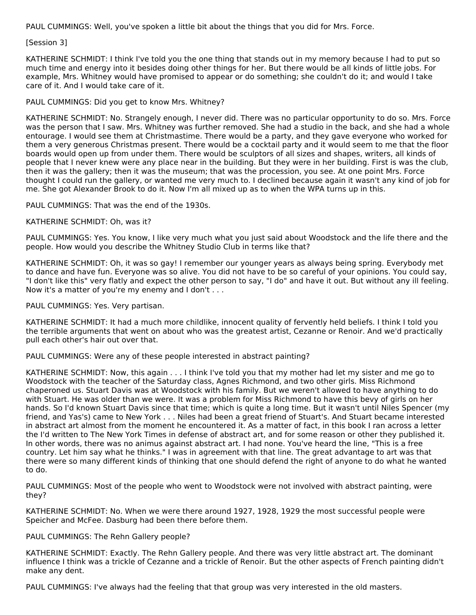PAUL CUMMINGS: Well, you've spoken a little bit about the things that you did for Mrs. Force.

#### [Session 3]

KATHERINE SCHMIDT: I think I've told you the one thing that stands out in my memory because I had to put so much time and energy into it besides doing other things for her. But there would be all kinds of little jobs. For example, Mrs. Whitney would have promised to appear or do something; she couldn't do it; and would I take care of it. And I would take care of it.

# PAUL CUMMINGS: Did you get to know Mrs. Whitney?

KATHERINE SCHMIDT: No. Strangely enough, I never did. There was no particular opportunity to do so. Mrs. Force was the person that I saw. Mrs. Whitney was further removed. She had a studio in the back, and she had a whole entourage. I would see them at Christmastime. There would be a party, and they gave everyone who worked for them a very generous Christmas present. There would be a cocktail party and it would seem to me that the floor boards would open up from under them. There would be sculptors of all sizes and shapes, writers, all kinds of people that I never knew were any place near in the building. But they were in her building. First is was the club, then it was the gallery; then it was the museum; that was the procession, you see. At one point Mrs. Force thought I could run the gallery, or wanted me very much to. I declined because again it wasn't any kind of job for me. She got Alexander Brook to do it. Now I'm all mixed up as to when the WPA turns up in this.

PAUL CUMMINGS: That was the end of the 1930s.

#### KATHERINE SCHMIDT: Oh, was it?

PAUL CUMMINGS: Yes. You know, I like very much what you just said about Woodstock and the life there and the people. How would you describe the Whitney Studio Club in terms like that?

KATHERINE SCHMIDT: Oh, it was so gay! I remember our younger years as always being spring. Everybody met to dance and have fun. Everyone was so alive. You did not have to be so careful of your opinions. You could say, "I don't like this" very flatly and expect the other person to say, "I do" and have it out. But without any ill feeling. Now it's a matter of you're my enemy and I don't . . .

#### PAUL CUMMINGS: Yes. Very partisan.

KATHERINE SCHMIDT: It had a much more childlike, innocent quality of fervently held beliefs. I think I told you the terrible arguments that went on about who was the greatest artist, Cezanne or Renoir. And we'd practically pull each other's hair out over that.

PAUL CUMMINGS: Were any of these people interested in abstract painting?

KATHERINE SCHMIDT: Now, this again . . . I think I've told you that my mother had let my sister and me go to Woodstock with the teacher of the Saturday class, Agnes Richmond, and two other girls. Miss Richmond chaperoned us. Stuart Davis was at Woodstock with his family. But we weren't allowed to have anything to do with Stuart. He was older than we were. It was a problem for Miss Richmond to have this bevy of girls on her hands. So I'd known Stuart Davis since that time; which is quite a long time. But it wasn't until Niles Spencer (my friend, and Yas's) came to New York . . . Niles had been a great friend of Stuart's. And Stuart became interested in abstract art almost from the moment he encountered it. As a matter of fact, in this book I ran across a letter the I'd written to The New York Times in defense of abstract art, and for some reason or other they published it. In other words, there was no animus against abstract art. I had none. You've heard the line, "This is a free country. Let him say what he thinks." I was in agreement with that line. The great advantage to art was that there were so many different kinds of thinking that one should defend the right of anyone to do what he wanted to do.

PAUL CUMMINGS: Most of the people who went to Woodstock were not involved with abstract painting, were they?

KATHERINE SCHMIDT: No. When we were there around 1927, 1928, 1929 the most successful people were Speicher and McFee. Dasburg had been there before them.

#### PAUL CUMMINGS: The Rehn Gallery people?

KATHERINE SCHMIDT: Exactly. The Rehn Gallery people. And there was very little abstract art. The dominant influence I think was a trickle of Cezanne and a trickle of Renoir. But the other aspects of French painting didn't make any dent.

PAUL CUMMINGS: I've always had the feeling that that group was very interested in the old masters.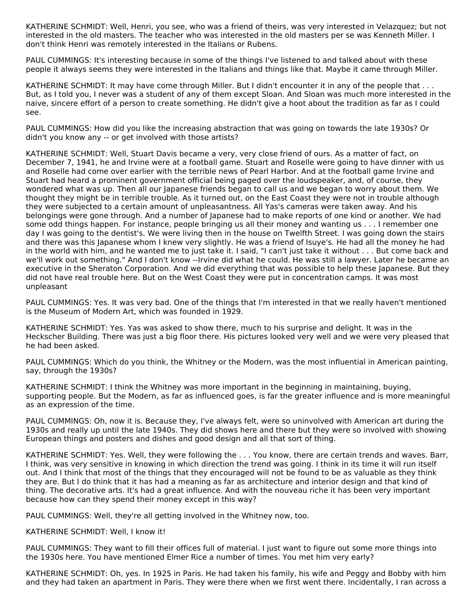KATHERINE SCHMIDT: Well, Henri, you see, who was a friend of theirs, was very interested in Velazquez; but not interested in the old masters. The teacher who was interested in the old masters per se was Kenneth Miller. I don't think Henri was remotely interested in the Italians or Rubens.

PAUL CUMMINGS: It's interesting because in some of the things I've listened to and talked about with these people it always seems they were interested in the Italians and things like that. Maybe it came through Miller.

KATHERINE SCHMIDT: It may have come through Miller. But I didn't encounter it in any of the people that . . . But, as I told you, I never was a student of any of them except Sloan. And Sloan was much more interested in the naive, sincere effort of a person to create something. He didn't give a hoot about the tradition as far as I could see.

PAUL CUMMINGS: How did you like the increasing abstraction that was going on towards the late 1930s? Or didn't you know any -- or get involved with those artists?

KATHERINE SCHMIDT: Well, Stuart Davis became a very, very close friend of ours. As a matter of fact, on December 7, 1941, he and Irvine were at a football game. Stuart and Roselle were going to have dinner with us and Roselle had come over earlier with the terrible news of Pearl Harbor. And at the football game Irvine and Stuart had heard a prominent government official being paged over the loudspeaker, and, of course, they wondered what was up. Then all our Japanese friends began to call us and we began to worry about them. We thought they might be in terrible trouble. As it turned out, on the East Coast they were not in trouble although they were subjected to a certain amount of unpleasantness. All Yas's cameras were taken away. And his belongings were gone through. And a number of Japanese had to make reports of one kind or another. We had some odd things happen. For instance, people bringing us all their money and wanting us . . . I remember one day I was going to the dentist's. We were living then in the house on Twelfth Street. I was going down the stairs and there was this Japanese whom I knew very slightly. He was a friend of Isuye's. He had all the money he had in the world with him, and he wanted me to just take it. I said, "I can't just take it without . . . But come back and we'll work out something." And I don't know --Irvine did what he could. He was still a lawyer. Later he became an executive in the Sheraton Corporation. And we did everything that was possible to help these Japanese. But they did not have real trouble here. But on the West Coast they were put in concentration camps. It was most unpleasant

PAUL CUMMINGS: Yes. It was very bad. One of the things that I'm interested in that we really haven't mentioned is the Museum of Modern Art, which was founded in 1929.

KATHERINE SCHMIDT: Yes. Yas was asked to show there, much to his surprise and delight. It was in the Heckscher Building. There was just a big floor there. His pictures looked very well and we were very pleased that he had been asked.

PAUL CUMMINGS: Which do you think, the Whitney or the Modern, was the most influential in American painting, say, through the 1930s?

KATHERINE SCHMIDT: I think the Whitney was more important in the beginning in maintaining, buying, supporting people. But the Modern, as far as influenced goes, is far the greater influence and is more meaningful as an expression of the time.

PAUL CUMMINGS: Oh, now it is. Because they, I've always felt, were so uninvolved with American art during the 1930s and really up until the late 1940s. They did shows here and there but they were so involved with showing European things and posters and dishes and good design and all that sort of thing.

KATHERINE SCHMIDT: Yes. Well, they were following the . . . You know, there are certain trends and waves. Barr, I think, was very sensitive in knowing in which direction the trend was going. I think in its time it will run itself out. And I think that most of the things that they encouraged will not be found to be as valuable as they think they are. But I do think that it has had a meaning as far as architecture and interior design and that kind of thing. The decorative arts. It's had a great influence. And with the nouveau riche it has been very important because how can they spend their money except in this way?

PAUL CUMMINGS: Well, they're all getting involved in the Whitney now, too.

#### KATHERINE SCHMIDT: Well, I know it!

PAUL CUMMINGS: They want to fill their offices full of material. I just want to figure out some more things into the 1930s here. You have mentioned Elmer Rice a number of times. You met him very early?

KATHERINE SCHMIDT: Oh, yes. In 1925 in Paris. He had taken his family, his wife and Peggy and Bobby with him and they had taken an apartment in Paris. They were there when we first went there. Incidentally, I ran across a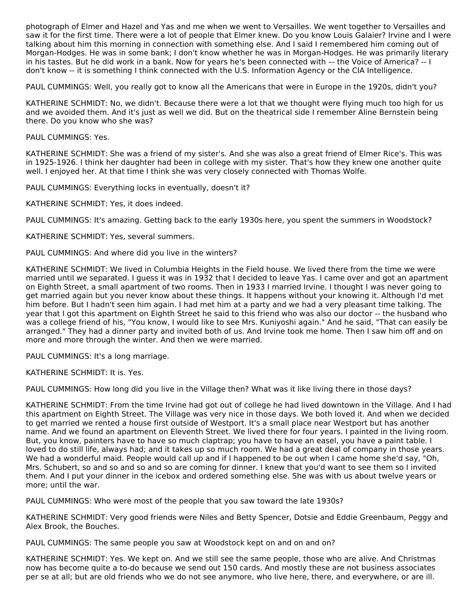photograph of Elmer and Hazel and Yas and me when we went to Versailles. We went together to Versailles and saw it for the first time. There were a lot of people that Elmer knew. Do you know Louis Galaier? Irvine and I were talking about him this morning in connection with something else. And I said I remembered him coming out of Morgan-Hodges. He was in some bank; I don't know whether he was in Morgan-Hodges. He was primarily literary in his tastes. But he did work in a bank. Now for years he's been connected with –- the Voice of America? -- I don't know -- it is something I think connected with the U.S. Information Agency or the CIA Intelligence.

PAUL CUMMINGS: Well, you really got to know all the Americans that were in Europe in the 1920s, didn't you?

KATHERINE SCHMIDT: No, we didn't. Because there were a lot that we thought were flying much too high for us and we avoided them. And it's just as well we did. But on the theatrical side I remember Aline Bernstein being there. Do you know who she was?

PAUL CUMMINGS: Yes.

KATHERINE SCHMIDT: She was a friend of my sister's. And she was also a great friend of Elmer Rice's. This was in 1925-1926. I think her daughter had been in college with my sister. That's how they knew one another quite well. I enjoyed her. At that time I think she was very closely connected with Thomas Wolfe.

PAUL CUMMINGS: Everything locks in eventually, doesn't it?

KATHERINE SCHMIDT: Yes, it does indeed.

PAUL CUMMINGS: It's amazing. Getting back to the early 1930s here, you spent the summers in Woodstock?

KATHERINE SCHMIDT: Yes, several summers.

PAUL CUMMINGS: And where did you live in the winters?

KATHERINE SCHMIDT: We lived in Columbia Heights in the Field house. We lived there from the time we were married until we separated. I guess it was in 1932 that I decided to leave Yas. I came over and got an apartment on Eighth Street, a small apartment of two rooms. Then in 1933 I married Irvine. I thought I was never going to get married again but you never know about these things. It happens without your knowing it. Although I'd met him before. But I hadn't seen him again. I had met him at a party and we had a very pleasant time talking. The year that I got this apartment on Eighth Street he said to this friend who was also our doctor -- the husband who was a college friend of his, "You know, I would like to see Mrs. Kuniyoshi again." And he said, "That can easily be arranged." They had a dinner party and invited both of us. And Irvine took me home. Then I saw him off and on more and more through the winter. And then we were married.

PAUL CUMMINGS: It's a long marriage.

KATHERINE SCHMIDT: It is. Yes.

PAUL CUMMINGS: How long did you live in the Village then? What was it like living there in those days?

KATHERINE SCHMIDT: From the time Irvine had got out of college he had lived downtown in the Village. And I had this apartment on Eighth Street. The Village was very nice in those days. We both loved it. And when we decided to get married we rented a house first outside of Westport. It's a small place near Westport but has another name. And we found an apartment on Eleventh Street. We lived there for four years. I painted in the living room. But, you know, painters have to have so much claptrap; you have to have an easel, you have a paint table. I loved to do still life, always had; and it takes up so much room. We had a great deal of company in those years. We had a wonderful maid. People would call up and if I happened to be out when I came home she'd say, "Oh, Mrs. Schubert, so and so and so and so are coming for dinner. I knew that you'd want to see them so I invited them. And I put your dinner in the icebox and ordered something else. She was with us about twelve years or more; until the war.

PAUL CUMMINGS: Who were most of the people that you saw toward the late 1930s?

KATHERINE SCHMIDT: Very good friends were Niles and Betty Spencer, Dotsie and Eddie Greenbaum, Peggy and Alex Brook, the Bouches.

PAUL CUMMINGS: The same people you saw at Woodstock kept on and on and on?

KATHERINE SCHMIDT: Yes. We kept on. And we still see the same people, those who are alive. And Christmas now has become quite a to-do because we send out 150 cards. And mostly these are not business associates per se at all; but are old friends who we do not see anymore, who live here, there, and everywhere, or are ill.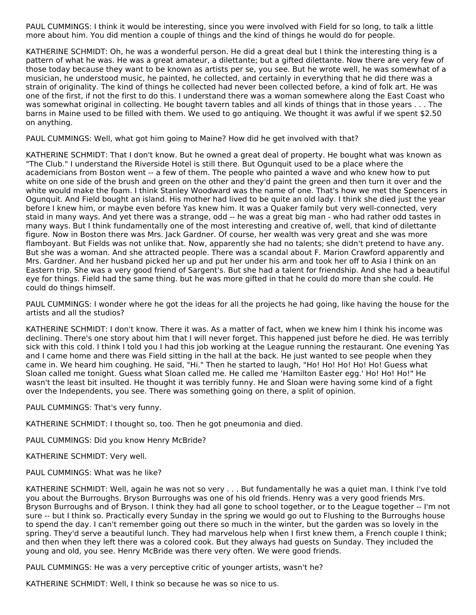PAUL CUMMINGS: I think it would be interesting, since you were involved with Field for so long, to talk a little more about him. You did mention a couple of things and the kind of things he would do for people.

KATHERINE SCHMIDT: Oh, he was a wonderful person. He did a great deal but I think the interesting thing is a pattern of what he was. He was a great amateur, a dilettante; but a gifted dilettante. Now there are very few of those today because they want to be known as artists per se, you see. But he wrote well, he was somewhat of a musician, he understood music, he painted, he collected, and certainly in everything that he did there was a strain of originality. The kind of things he collected had never been collected before, a kind of folk art. He was one of the first, if not the first to do this. I understand there was a woman somewhere along the East Coast who was somewhat original in collecting. He bought tavern tables and all kinds of things that in those years . . . The barns in Maine used to be filled with them. We used to go antiquing. We thought it was awful if we spent \$2.50 on anything.

PAUL CUMMINGS: Well, what got him going to Maine? How did he get involved with that?

KATHERINE SCHMIDT: That I don't know. But he owned a great deal of property. He bought what was known as "The Club." I understand the Riverside Hotel is still there. But Ogunquit used to be a place where the academicians from Boston went -- a few of them. The people who painted a wave and who knew how to put white on one side of the brush and green on the other and they'd paint the green and then turn it over and the white would make the foam. I think Stanley Woodward was the name of one. That's how we met the Spencers in Ogunquit. And Field bought an island. His mother had lived to be quite an old lady. I think she died just the year before I knew him, or maybe even before Yas knew him. It was a Quaker family but very well-connected, very staid in many ways. And yet there was a strange, odd -- he was a great big man - who had rather odd tastes in many ways. But I think fundamentally one of the most interesting and creative of, well, that kind of dilettante figure. Now in Boston there was Mrs. Jack Gardner. Of course, her wealth was very great and she was more flamboyant. But Fields was not unlike that. Now, apparently she had no talents; she didn't pretend to have any. But she was a woman. And she attracted people. There was a scandal about F. Marion Crawford apparently and Mrs. Gardner. And her husband picked her up and put her under his arm and took her off to Asia I think on an Eastern trip. She was a very good friend of Sargent's. But she had a talent for friendship. And she had a beautiful eye for things. Field had the same thing. but he was more gifted in that he could do more than she could. He could do things himself.

PAUL CUMMINGS: I wonder where he got the ideas for all the projects he had going, like having the house for the artists and all the studios?

KATHERINE SCHMIDT: I don't know. There it was. As a matter of fact, when we knew him I think his income was declining. There's one story about him that I will never forget. This happened just before he died. He was terribly sick with this cold. I think I told you I had this job working at the League running the restaurant. One evening Yas and I came home and there was Field sitting in the hall at the back. He just wanted to see people when they came in. We heard him coughing. He said, "Hi." Then he started to laugh, "Ho! Ho! Ho! Ho! Ho! Guess what Sloan called me tonight. Guess what Sloan called me. He called me 'Hamilton Easter egg.' Ho! Ho! Ho!" He wasn't the least bit insulted. He thought it was terribly funny. He and Sloan were having some kind of a fight over the Independents, you see. There was something going on there, a split of opinion.

PAUL CUMMINGS: That's very funny.

KATHERINE SCHMIDT: I thought so, too. Then he got pneumonia and died.

PAUL CUMMINGS: Did you know Henry McBride?

KATHERINE SCHMIDT: Very well.

PAUL CUMMINGS: What was he like?

KATHERINE SCHMIDT: Well, again he was not so very . . . But fundamentally he was a quiet man. I think I've told you about the Burroughs. Bryson Burroughs was one of his old friends. Henry was a very good friends Mrs. Bryson Burroughs and of Bryson. I think they had all gone to school together, or to the League together -- I'm not sure -- but I think so. Practically every Sunday in the spring we would go out to Flushing to the Burroughs house to spend the day. I can't remember going out there so much in the winter, but the garden was so lovely in the spring. They'd serve a beautiful lunch. They had marvelous help when I first knew them, a French couple I think; and then when they left there was a colored cook. But they always had guests on Sunday. They included the young and old, you see. Henry McBride was there very often. We were good friends.

PAUL CUMMINGS: He was a very perceptive critic of younger artists, wasn't he?

KATHERINE SCHMIDT: Well, I think so because he was so nice to us.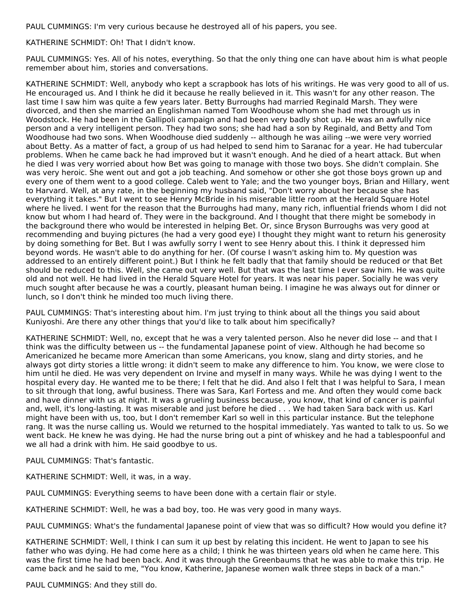PAUL CUMMINGS: I'm very curious because he destroyed all of his papers, you see.

# KATHERINE SCHMIDT: Oh! That I didn't know.

PAUL CUMMINGS: Yes. All of his notes, everything. So that the only thing one can have about him is what people remember about him, stories and conversations.

KATHERINE SCHMIDT: Well, anybody who kept a scrapbook has lots of his writings. He was very good to all of us. He encouraged us. And I think he did it because he really believed in it. This wasn't for any other reason. The last time I saw him was quite a few years later. Betty Burroughs had married Reginald Marsh. They were divorced, and then she married an Englishman named Tom Woodhouse whom she had met through us in Woodstock. He had been in the Gallipoli campaign and had been very badly shot up. He was an awfully nice person and a very intelligent person. They had two sons; she had had a son by Reginald, and Betty and Tom Woodhouse had two sons. When Woodhouse died suddenly -- although he was ailing --we were very worried about Betty. As a matter of fact, a group of us had helped to send him to Saranac for a year. He had tubercular problems. When he came back he had improved but it wasn't enough. And he died of a heart attack. But when he died I was very worried about how Bet was going to manage with those two boys. She didn't complain. She was very heroic. She went out and got a job teaching. And somehow or other she got those boys grown up and every one of them went to a good college. Caleb went to Yale; and the two younger boys, Brian and Hillary, went to Harvard. Well, at any rate, in the beginning my husband said, "Don't worry about her because she has everything it takes." But I went to see Henry McBride in his miserable little room at the Herald Square Hotel where he lived. I went for the reason that the Burroughs had many, many rich, influential friends whom I did not know but whom I had heard of. They were in the background. And I thought that there might be somebody in the background there who would be interested in helping Bet. Or, since Bryson Burroughs was very good at recommending and buying pictures (he had a very good eye) I thought they might want to return his generosity by doing something for Bet. But I was awfully sorry I went to see Henry about this. I think it depressed him beyond words. He wasn't able to do anything for her. (Of course I wasn't asking him to. My question was addressed to an entirely different point.) But I think he felt badly that that family should be reduced or that Bet should be reduced to this. Well, she came out very well. But that was the last time I ever saw him. He was quite old and not well. He had lived in the Herald Square Hotel for years. It was near his paper. Socially he was very much sought after because he was a courtly, pleasant human being. I imagine he was always out for dinner or lunch, so I don't think he minded too much living there.

PAUL CUMMINGS: That's interesting about him. I'm just trying to think about all the things you said about Kuniyoshi. Are there any other things that you'd like to talk about him specifically?

KATHERINE SCHMIDT: Well, no, except that he was a very talented person. Also he never did lose -- and that I think was the difficulty between us -- the fundamental Japanese point of view. Although he had become so Americanized he became more American than some Americans, you know, slang and dirty stories, and he always got dirty stories a little wrong: it didn't seem to make any difference to him. You know, we were close to him until he died. He was very dependent on Irvine and myself in many ways. While he was dying I went to the hospital every day. He wanted me to be there; I felt that he did. And also I felt that I was helpful to Sara, I mean to sit through that long, awful business. There was Sara, Karl Fortess and me. And often they would come back and have dinner with us at night. It was a grueling business because, you know, that kind of cancer is painful and, well, it's long-lasting. It was miserable and just before he died . . . We had taken Sara back with us. Karl might have been with us, too, but I don't remember Karl so well in this particular instance. But the telephone rang. It was the nurse calling us. Would we returned to the hospital immediately. Yas wanted to talk to us. So we went back. He knew he was dying. He had the nurse bring out a pint of whiskey and he had a tablespoonful and we all had a drink with him. He said goodbye to us.

PAUL CUMMINGS: That's fantastic.

KATHERINE SCHMIDT: Well, it was, in a way.

PAUL CUMMINGS: Everything seems to have been done with a certain flair or style.

KATHERINE SCHMIDT: Well, he was a bad boy, too. He was very good in many ways.

PAUL CUMMINGS: What's the fundamental Japanese point of view that was so difficult? How would you define it?

KATHERINE SCHMIDT: Well, I think I can sum it up best by relating this incident. He went to Japan to see his father who was dying. He had come here as a child; I think he was thirteen years old when he came here. This was the first time he had been back. And it was through the Greenbaums that he was able to make this trip. He came back and he said to me, "You know, Katherine, Japanese women walk three steps in back of a man."

PAUL CUMMINGS: And they still do.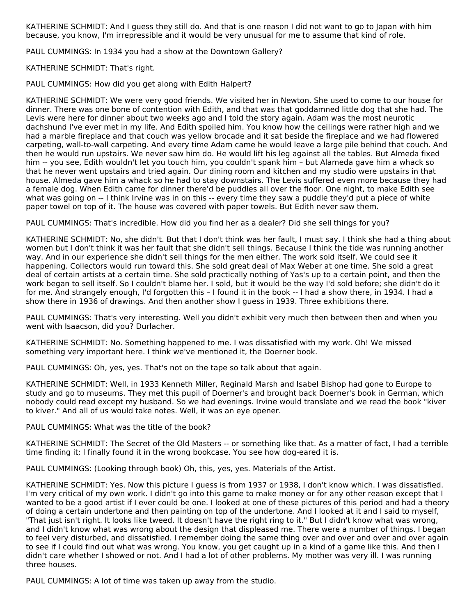KATHERINE SCHMIDT: And I guess they still do. And that is one reason I did not want to go to Japan with him because, you know, I'm irrepressible and it would be very unusual for me to assume that kind of role.

PAUL CUMMINGS: In 1934 you had a show at the Downtown Gallery?

KATHERINE SCHMIDT: That's right.

PAUL CUMMINGS: How did you get along with Edith Halpert?

KATHERINE SCHMIDT: We were very good friends. We visited her in Newton. She used to come to our house for dinner. There was one bone of contention with Edith, and that was that goddamned little dog that she had. The Levis were here for dinner about two weeks ago and I told the story again. Adam was the most neurotic dachshund I've ever met in my life. And Edith spoiled him. You know how the ceilings were rather high and we had a marble fireplace and that couch was yellow brocade and it sat beside the fireplace and we had flowered carpeting, wall-to-wall carpeting. And every time Adam came he would leave a large pile behind that couch. And then he would run upstairs. We never saw him do. He would lift his leg against all the tables. But Almeda fixed him -- you see, Edith wouldn't let you touch him, you couldn't spank him – but Alameda gave him a whack so that he never went upstairs and tried again. Our dining room and kitchen and my studio were upstairs in that house. Almeda gave him a whack so he had to stay downstairs. The Levis suffered even more because they had a female dog. When Edith came for dinner there'd be puddles all over the floor. One night, to make Edith see what was going on -- I think Irvine was in on this -- every time they saw a puddle they'd put a piece of white paper towel on top of it. The house was covered with paper towels. But Edith never saw them.

PAUL CUMMINGS: That's incredible. How did you find her as a dealer? Did she sell things for you?

KATHERINE SCHMIDT: No, she didn't. But that I don't think was her fault, I must say. I think she had a thing about women but I don't think it was her fault that she didn't sell things. Because I think the tide was running another way. And in our experience she didn't sell things for the men either. The work sold itself. We could see it happening. Collectors would run toward this. She sold great deal of Max Weber at one time. She sold a great deal of certain artists at a certain time. She sold practically nothing of Yas's up to a certain point, and then the work began to sell itself. So I couldn't blame her. I sold, but it would be the way I'd sold before; she didn't do it for me. And strangely enough, I'd forgotten this – I found it in the book -- I had a show there, in 1934. I had a show there in 1936 of drawings. And then another show I guess in 1939. Three exhibitions there.

PAUL CUMMINGS: That's very interesting. Well you didn't exhibit very much then between then and when you went with Isaacson, did you? Durlacher.

KATHERINE SCHMIDT: No. Something happened to me. I was dissatisfied with my work. Oh! We missed something very important here. I think we've mentioned it, the Doerner book.

PAUL CUMMINGS: Oh, yes, yes. That's not on the tape so talk about that again.

KATHERINE SCHMIDT: Well, in 1933 Kenneth Miller, Reginald Marsh and Isabel Bishop had gone to Europe to study and go to museums. They met this pupil of Doerner's and brought back Doerner's book in German, which nobody could read except my husband. So we had evenings. Irvine would translate and we read the book "kiver to kiver." And all of us would take notes. Well, it was an eye opener.

PAUL CUMMINGS: What was the title of the book?

KATHERINE SCHMIDT: The Secret of the Old Masters -- or something like that. As a matter of fact, I had a terrible time finding it; I finally found it in the wrong bookcase. You see how dog-eared it is.

PAUL CUMMINGS: (Looking through book) Oh, this, yes, yes. Materials of the Artist.

KATHERINE SCHMIDT: Yes. Now this picture I guess is from 1937 or 1938, I don't know which. I was dissatisfied. I'm very critical of my own work. I didn't go into this game to make money or for any other reason except that I wanted to be a good artist if I ever could be one. I looked at one of these pictures of this period and had a theory of doing a certain undertone and then painting on top of the undertone. And I looked at it and I said to myself, "That just isn't right. It looks like tweed. It doesn't have the right ring to it." But I didn't know what was wrong, and I didn't know what was wrong about the design that displeased me. There were a number of things. I began to feel very disturbed, and dissatisfied. I remember doing the same thing over and over and over and over again to see if I could find out what was wrong. You know, you get caught up in a kind of a game like this. And then I didn't care whether I showed or not. And I had a lot of other problems. My mother was very ill. I was running three houses.

PAUL CUMMINGS: A lot of time was taken up away from the studio.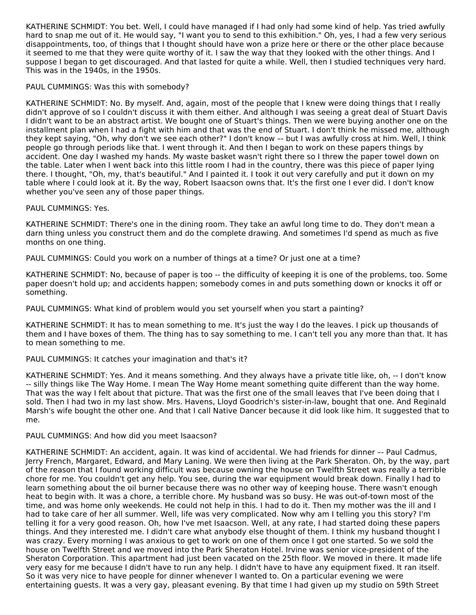KATHERINE SCHMIDT: You bet. Well, I could have managed if I had only had some kind of help. Yas tried awfully hard to snap me out of it. He would say, "I want you to send to this exhibition." Oh, yes, I had a few very serious disappointments, too, of things that I thought should have won a prize here or there or the other place because it seemed to me that they were quite worthy of it. I saw the way that they looked with the other things. And I suppose I began to get discouraged. And that lasted for quite a while. Well, then I studied techniques very hard. This was in the 1940s, in the 1950s.

PAUL CUMMINGS: Was this with somebody?

KATHERINE SCHMIDT: No. By myself. And, again, most of the people that I knew were doing things that I really didn't approve of so I couldn't discuss it with them either. And although I was seeing a great deal of Stuart Davis I didn't want to be an abstract artist. We bought one of Stuart's things. Then we were buying another one on the installment plan when I had a fight with him and that was the end of Stuart. I don't think he missed me, although they kept saying, "Oh, why don't we see each other?" I don't know –- but I was awfully cross at him. Well, I think people go through periods like that. I went through it. And then I began to work on these papers things by accident. One day I washed my hands. My waste basket wasn't right there so I threw the paper towel down on the table. Later when I went back into this little room I had in the country, there was this piece of paper lying there. I thought, "Oh, my, that's beautiful." And I painted it. I took it out very carefully and put it down on my table where I could look at it. By the way, Robert Isaacson owns that. It's the first one I ever did. I don't know whether you've seen any of those paper things.

PAUL CUMMINGS: Yes.

KATHERINE SCHMIDT: There's one in the dining room. They take an awful long time to do. They don't mean a darn thing unless you construct them and do the complete drawing. And sometimes I'd spend as much as five months on one thing.

PAUL CUMMINGS: Could you work on a number of things at a time? Or just one at a time?

KATHERINE SCHMIDT: No, because of paper is too -- the difficulty of keeping it is one of the problems, too. Some paper doesn't hold up; and accidents happen; somebody comes in and puts something down or knocks it off or something.

PAUL CUMMINGS: What kind of problem would you set yourself when you start a painting?

KATHERINE SCHMIDT: It has to mean something to me. It's just the way I do the leaves. I pick up thousands of them and I have boxes of them. The thing has to say something to me. I can't tell you any more than that. It has to mean something to me.

PAUL CUMMINGS: It catches your imagination and that's it?

KATHERINE SCHMIDT: Yes. And it means something. And they always have a private title like, oh, -- I don't know -- silly things like The Way Home. I mean The Way Home meant something quite different than the way home. That was the way I felt about that picture. That was the first one of the small leaves that I've been doing that I sold. Then I had two in my last show. Mrs. Havens, Lloyd Goodrich's sister-in-law, bought that one. And Reginald Marsh's wife bought the other one. And that I call Native Dancer because it did look like him. It suggested that to me.

PAUL CUMMINGS: And how did you meet Isaacson?

KATHERINE SCHMIDT: An accident, again. It was kind of accidental. We had friends for dinner –- Paul Cadmus, Jerry French, Margaret, Edward, and Mary Laning. We were then living at the Park Sheraton. Oh, by the way, part of the reason that I found working difficult was because owning the house on Twelfth Street was really a terrible chore for me. You couldn't get any help. You see, during the war equipment would break down. Finally I had to learn something about the oil burner because there was no other way of keeping house. There wasn't enough heat to begin with. It was a chore, a terrible chore. My husband was so busy. He was out-of-town most of the time, and was home only weekends. He could not help in this. I had to do it. Then my mother was the ill and I had to take care of her all summer. Well, life was very complicated. Now why am I telling you this story? I'm telling it for a very good reason. Oh, how I've met Isaacson. Well, at any rate, I had started doing these papers things. And they interested me. I didn't care what anybody else thought of them. I think my husband thought I was crazy. Every morning I was anxious to get to work on one of them once I got one started. So we sold the house on Twelfth Street and we moved into the Park Sheraton Hotel. Irvine was senior vice-president of the Sheraton Corporation. This apartment had just been vacated on the 25th floor. We moved in there. It made life very easy for me because I didn't have to run any help. I didn't have to have any equipment fixed. It ran itself. So it was very nice to have people for dinner whenever I wanted to. On a particular evening we were entertaining guests. It was a very gay, pleasant evening. By that time I had given up my studio on 59th Street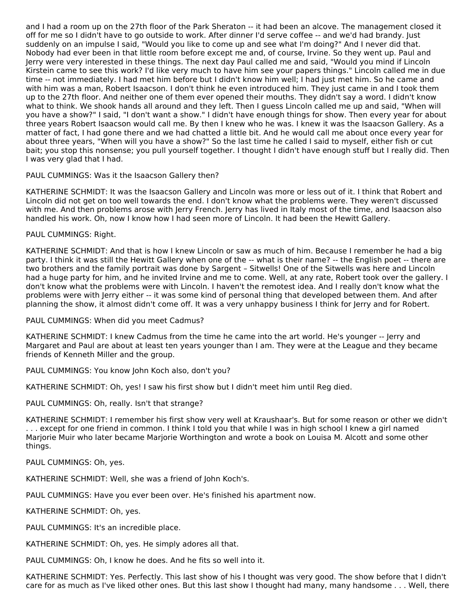and I had a room up on the 27th floor of the Park Sheraton -- it had been an alcove. The management closed it off for me so I didn't have to go outside to work. After dinner I'd serve coffee -- and we'd had brandy. Just suddenly on an impulse I said, "Would you like to come up and see what I'm doing?" And I never did that. Nobody had ever been in that little room before except me and, of course, Irvine. So they went up. Paul and Jerry were very interested in these things. The next day Paul called me and said, "Would you mind if Lincoln Kirstein came to see this work? I'd like very much to have him see your papers things." Lincoln called me in due time -- not immediately. I had met him before but I didn't know him well; I had just met him. So he came and with him was a man, Robert Isaacson. I don't think he even introduced him. They just came in and I took them up to the 27th floor. And neither one of them ever opened their mouths. They didn't say a word. I didn't know what to think. We shook hands all around and they left. Then I guess Lincoln called me up and said, "When will you have a show?" I said, "I don't want a show." I didn't have enough things for show. Then every year for about three years Robert Isaacson would call me. By then I knew who he was. I knew it was the Isaacson Gallery. As a matter of fact, I had gone there and we had chatted a little bit. And he would call me about once every year for about three years, "When will you have a show?" So the last time he called I said to myself, either fish or cut bait; you stop this nonsense; you pull yourself together. I thought I didn't have enough stuff but I really did. Then I was very glad that I had.

# PAUL CUMMINGS: Was it the Isaacson Gallery then?

KATHERINE SCHMIDT: It was the Isaacson Gallery and Lincoln was more or less out of it. I think that Robert and Lincoln did not get on too well towards the end. I don't know what the problems were. They weren't discussed with me. And then problems arose with Jerry French. Jerry has lived in Italy most of the time, and Isaacson also handled his work. Oh, now I know how I had seen more of Lincoln. It had been the Hewitt Gallery.

PAUL CUMMINGS: Right.

KATHERINE SCHMIDT: And that is how I knew Lincoln or saw as much of him. Because I remember he had a big party. I think it was still the Hewitt Gallery when one of the -- what is their name? -- the English poet -- there are two brothers and the family portrait was done by Sargent – Sitwells! One of the Sitwells was here and Lincoln had a huge party for him, and he invited Irvine and me to come. Well, at any rate, Robert took over the gallery. I don't know what the problems were with Lincoln. I haven't the remotest idea. And I really don't know what the problems were with Jerry either -- it was some kind of personal thing that developed between them. And after planning the show, it almost didn't come off. It was a very unhappy business I think for Jerry and for Robert.

PAUL CUMMINGS: When did you meet Cadmus?

KATHERINE SCHMIDT: I knew Cadmus from the time he came into the art world. He's younger -- Jerry and Margaret and Paul are about at least ten years younger than I am. They were at the League and they became friends of Kenneth Miller and the group.

PAUL CUMMINGS: You know John Koch also, don't you?

KATHERINE SCHMIDT: Oh, yes! I saw his first show but I didn't meet him until Reg died.

PAUL CUMMINGS: Oh, really. Isn't that strange?

KATHERINE SCHMIDT: I remember his first show very well at Kraushaar's. But for some reason or other we didn't . . . except for one friend in common. I think I told you that while I was in high school I knew a girl named Marjorie Muir who later became Marjorie Worthington and wrote a book on Louisa M. Alcott and some other things.

PAUL CUMMINGS: Oh, yes.

KATHERINE SCHMIDT: Well, she was a friend of John Koch's.

PAUL CUMMINGS: Have you ever been over. He's finished his apartment now.

KATHERINE SCHMIDT: Oh, yes.

PAUL CUMMINGS: It's an incredible place.

KATHERINE SCHMIDT: Oh, yes. He simply adores all that.

PAUL CUMMINGS: Oh, I know he does. And he fits so well into it.

KATHERINE SCHMIDT: Yes. Perfectly. This last show of his I thought was very good. The show before that I didn't care for as much as I've liked other ones. But this last show I thought had many, many handsome . . . Well, there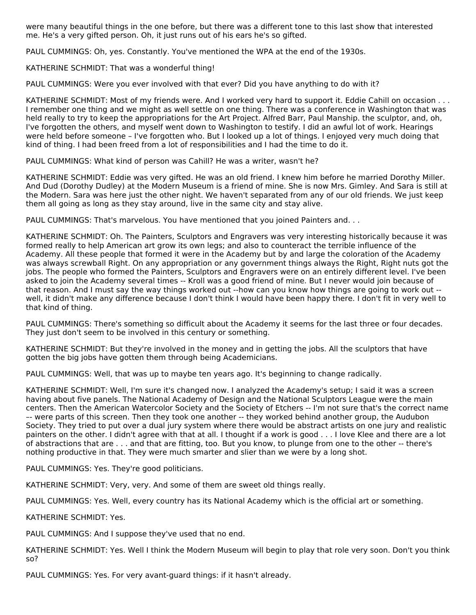were many beautiful things in the one before, but there was a different tone to this last show that interested me. He's a very gifted person. Oh, it just runs out of his ears he's so gifted.

PAUL CUMMINGS: Oh, yes. Constantly. You've mentioned the WPA at the end of the 1930s.

KATHERINE SCHMIDT: That was a wonderful thing!

PAUL CUMMINGS: Were you ever involved with that ever? Did you have anything to do with it?

KATHERINE SCHMIDT: Most of my friends were. And I worked very hard to support it. Eddie Cahill on occasion . . . I remember one thing and we might as well settle on one thing. There was a conference in Washington that was held really to try to keep the appropriations for the Art Project. Alfred Barr, Paul Manship. the sculptor, and, oh, I've forgotten the others, and myself went down to Washington to testify. I did an awful lot of work. Hearings were held before someone – I've forgotten who. But I looked up a lot of things. I enjoyed very much doing that kind of thing. I had been freed from a lot of responsibilities and I had the time to do it.

PAUL CUMMINGS: What kind of person was Cahill? He was a writer, wasn't he?

KATHERINE SCHMIDT: Eddie was very gifted. He was an old friend. I knew him before he married Dorothy Miller. And Dud (Dorothy Dudley) at the Modern Museum is a friend of mine. She is now Mrs. Gimley. And Sara is still at the Modern. Sara was here just the other night. We haven't separated from any of our old friends. We just keep them all going as long as they stay around, live in the same city and stay alive.

PAUL CUMMINGS: That's marvelous. You have mentioned that you joined Painters and. . .

KATHERINE SCHMIDT: Oh. The Painters, Sculptors and Engravers was very interesting historically because it was formed really to help American art grow its own legs; and also to counteract the terrible influence of the Academy. All these people that formed it were in the Academy but by and large the coloration of the Academy was always screwball Right. On any appropriation or any government things always the Right, Right nuts got the jobs. The people who formed the Painters, Sculptors and Engravers were on an entirely different level. I've been asked to join the Academy several times -- Kroll was a good friend of mine. But I never would join because of that reason. And I must say the way things worked out --how can you know how things are going to work out - well, it didn't make any difference because I don't think I would have been happy there. I don't fit in very well to that kind of thing.

PAUL CUMMINGS: There's something so difficult about the Academy it seems for the last three or four decades. They just don't seem to be involved in this century or something.

KATHERINE SCHMIDT: But they're involved in the money and in getting the jobs. All the sculptors that have gotten the big jobs have gotten them through being Academicians.

PAUL CUMMINGS: Well, that was up to maybe ten years ago. It's beginning to change radically.

KATHERINE SCHMIDT: Well, I'm sure it's changed now. I analyzed the Academy's setup; I said it was a screen having about five panels. The National Academy of Design and the National Sculptors League were the main centers. Then the American Watercolor Society and the Society of Etchers -- I'm not sure that's the correct name –- were parts of this screen. Then they took one another -- they worked behind another group, the Audubon Society. They tried to put over a dual jury system where there would be abstract artists on one jury and realistic painters on the other. I didn't agree with that at all. I thought if a work is good . . . I love Klee and there are a lot of abstractions that are . . . and that are fitting, too. But you know, to plunge from one to the other -- there's nothing productive in that. They were much smarter and slier than we were by a long shot.

PAUL CUMMINGS: Yes. They're good politicians.

KATHERINE SCHMIDT: Very, very. And some of them are sweet old things really.

PAUL CUMMINGS: Yes. Well, every country has its National Academy which is the official art or something.

KATHERINE SCHMIDT: Yes.

PAUL CUMMINGS: And I suppose they've used that no end.

KATHERINE SCHMIDT: Yes. Well I think the Modern Museum will begin to play that role very soon. Don't you think so?

PAUL CUMMINGS: Yes. For very avant-guard things: if it hasn't already.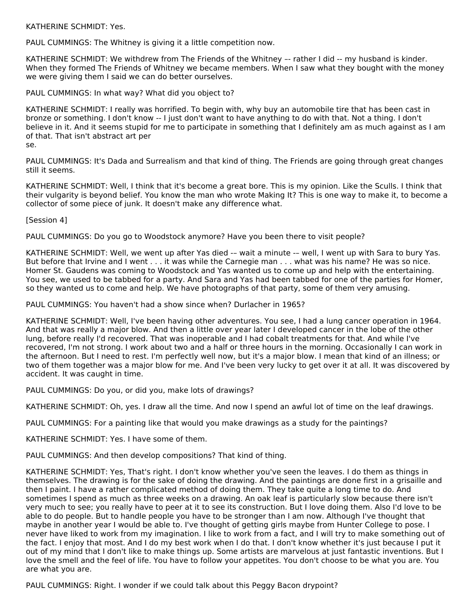KATHERINE SCHMIDT: Yes.

PAUL CUMMINGS: The Whitney is giving it a little competition now.

KATHERINE SCHMIDT: We withdrew from The Friends of the Whitney –- rather I did -- my husband is kinder. When they formed The Friends of Whitney we became members. When I saw what they bought with the money we were giving them I said we can do better ourselves.

PAUL CUMMINGS: In what way? What did you object to?

KATHERINE SCHMIDT: I really was horrified. To begin with, why buy an automobile tire that has been cast in bronze or something. I don't know -- I just don't want to have anything to do with that. Not a thing. I don't believe in it. And it seems stupid for me to participate in something that I definitely am as much against as I am of that. That isn't abstract art per

se.

PAUL CUMMINGS: It's Dada and Surrealism and that kind of thing. The Friends are going through great changes still it seems.

KATHERINE SCHMIDT: Well, I think that it's become a great bore. This is my opinion. Like the Sculls. I think that their vulgarity is beyond belief. You know the man who wrote Making It? This is one way to make it, to become a collector of some piece of junk. It doesn't make any difference what.

[Session 4]

PAUL CUMMINGS: Do you go to Woodstock anymore? Have you been there to visit people?

KATHERINE SCHMIDT: Well, we went up after Yas died -– wait a minute -– well, I went up with Sara to bury Yas. But before that Irvine and I went . . . it was while the Carnegie man . . . what was his name? He was so nice. Homer St. Gaudens was coming to Woodstock and Yas wanted us to come up and help with the entertaining. You see, we used to be tabbed for a party. And Sara and Yas had been tabbed for one of the parties for Homer, so they wanted us to come and help. We have photographs of that party, some of them very amusing.

PAUL CUMMINGS: You haven't had a show since when? Durlacher in 1965?

KATHERINE SCHMIDT: Well, I've been having other adventures. You see, I had a lung cancer operation in 1964. And that was really a major blow. And then a little over year later I developed cancer in the lobe of the other lung, before really I'd recovered. That was inoperable and I had cobalt treatments for that. And while I've recovered, I'm not strong. I work about two and a half or three hours in the morning. Occasionally I can work in the afternoon. But I need to rest. I'm perfectly well now, but it's a major blow. I mean that kind of an illness; or two of them together was a major blow for me. And I've been very lucky to get over it at all. It was discovered by accident. It was caught in time.

PAUL CUMMINGS: Do you, or did you, make lots of drawings?

KATHERINE SCHMIDT: Oh, yes. I draw all the time. And now I spend an awful lot of time on the leaf drawings.

PAUL CUMMINGS: For a painting like that would you make drawings as a study for the paintings?

KATHERINE SCHMIDT: Yes. I have some of them.

PAUL CUMMINGS: And then develop compositions? That kind of thing.

KATHERINE SCHMIDT: Yes, That's right. I don't know whether you've seen the leaves. I do them as things in themselves. The drawing is for the sake of doing the drawing. And the paintings are done first in a grisaille and then I paint. I have a rather complicated method of doing them. They take quite a long time to do. And sometimes I spend as much as three weeks on a drawing. An oak leaf is particularly slow because there isn't very much to see; you really have to peer at it to see its construction. But I love doing them. Also I'd love to be able to do people. But to handle people you have to be stronger than I am now. Although I've thought that maybe in another year I would be able to. I've thought of getting girls maybe from Hunter College to pose. I never have liked to work from my imagination. I like to work from a fact, and I will try to make something out of the fact. I enjoy that most. And I do my best work when I do that. I don't know whether it's just because I put it out of my mind that I don't like to make things up. Some artists are marvelous at just fantastic inventions. But I love the smell and the feel of life. You have to follow your appetites. You don't choose to be what you are. You are what you are.

PAUL CUMMINGS: Right. I wonder if we could talk about this Peggy Bacon drypoint?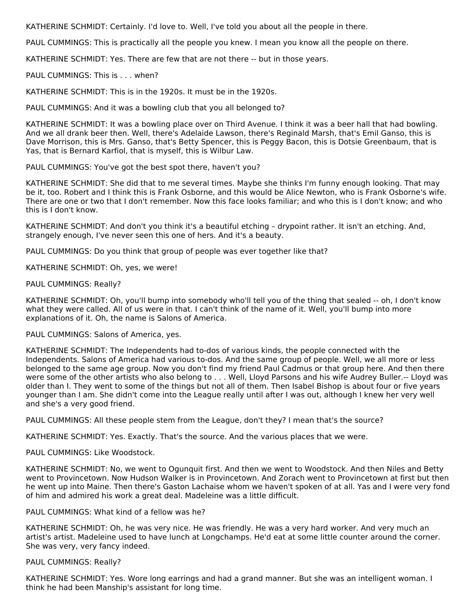KATHERINE SCHMIDT: Certainly. I'd love to. Well, I've told you about all the people in there.

PAUL CUMMINGS: This is practically all the people you knew. I mean you know all the people on there.

KATHERINE SCHMIDT: Yes. There are few that are not there -- but in those years.

PAUL CUMMINGS: This is . . . when?

KATHERINE SCHMIDT: This is in the 1920s. It must be in the 1920s.

PAUL CUMMINGS: And it was a bowling club that you all belonged to?

KATHERINE SCHMIDT: It was a bowling place over on Third Avenue. I think it was a beer hall that had bowling. And we all drank beer then. Well, there's Adelaide Lawson, there's Reginald Marsh, that's Emil Ganso, this is Dave Morrison, this is Mrs. Ganso, that's Betty Spencer, this is Peggy Bacon, this is Dotsie Greenbaum, that is Yas, that is Bernard Karfiol, that is myself, this is Wilbur Law.

PAUL CUMMINGS: You've got the best spot there, haven't you?

KATHERINE SCHMIDT: She did that to me several times. Maybe she thinks I'm funny enough looking. That may be it, too. Robert and I think this is Frank Osborne, and this would be Alice Newton, who is Frank Osborne's wife. There are one or two that I don't remember. Now this face looks familiar; and who this is I don't know; and who this is I don't know.

KATHERINE SCHMIDT: And don't you think it's a beautiful etching – drypoint rather. It isn't an etching. And, strangely enough, I've never seen this one of hers. And it's a beauty.

PAUL CUMMINGS: Do you think that group of people was ever together like that?

KATHERINE SCHMIDT: Oh, yes, we were!

PAUL CUMMINGS: Really?

KATHERINE SCHMIDT: Oh, you'll bump into somebody who'll tell you of the thing that sealed -- oh, I don't know what they were called. All of us were in that. I can't think of the name of it. Well, you'll bump into more explanations of it. Oh, the name is Salons of America.

PAUL CUMMINGS: Salons of America, yes.

KATHERINE SCHMIDT: The Independents had to-dos of various kinds, the people connected with the Independents. Salons of America had various to-dos. And the same group of people. Well, we all more or less belonged to the same age group. Now you don't find my friend Paul Cadmus or that group here. And then there were some of the other artists who also belong to . . . Well, Lloyd Parsons and his wife Audrey Buller.-- Lloyd was older than I. They went to some of the things but not all of them. Then Isabel Bishop is about four or five years younger than I am. She didn't come into the League really until after I was out, although I knew her very well and she's a very good friend.

PAUL CUMMINGS: All these people stem from the League, don't they? I mean that's the source?

KATHERINE SCHMIDT: Yes. Exactly. That's the source. And the various places that we were.

PAUL CUMMINGS: Like Woodstock.

KATHERINE SCHMIDT: No, we went to Ogunquit first. And then we went to Woodstock. And then Niles and Betty went to Provincetown. Now Hudson Walker is in Provincetown. And Zorach went to Provincetown at first but then he went up into Maine. Then there's Gaston Lachaise whom we haven't spoken of at all. Yas and I were very fond of him and admired his work a great deal. Madeleine was a little difficult.

# PAUL CUMMINGS: What kind of a fellow was he?

KATHERINE SCHMIDT: Oh, he was very nice. He was friendly. He was a very hard worker. And very much an artist's artist. Madeleine used to have lunch at Longchamps. He'd eat at some little counter around the corner. She was very, very fancy indeed.

#### PAUL CUMMINGS: Really?

KATHERINE SCHMIDT: Yes. Wore long earrings and had a grand manner. But she was an intelligent woman. I think he had been Manship's assistant for long time.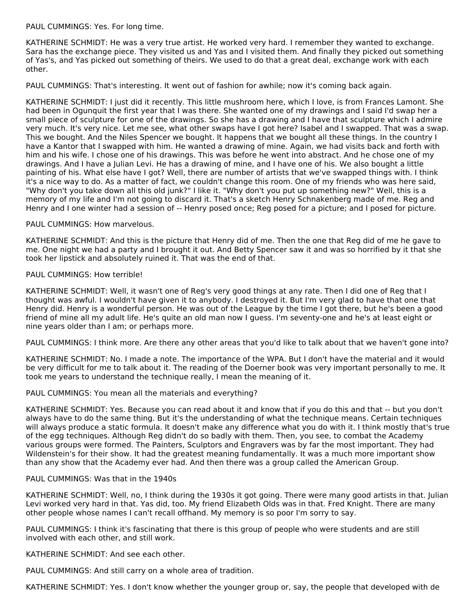PAUL CUMMINGS: Yes. For long time.

KATHERINE SCHMIDT: He was a very true artist. He worked very hard. I remember they wanted to exchange. Sara has the exchange piece. They visited us and Yas and I visited them. And finally they picked out something of Yas's, and Yas picked out something of theirs. We used to do that a great deal, exchange work with each other.

PAUL CUMMINGS: That's interesting. It went out of fashion for awhile; now it's coming back again.

KATHERINE SCHMIDT: I just did it recently. This little mushroom here, which I love, is from Frances Lamont. She had been in Ogunguit the first year that I was there. She wanted one of my drawings and I said I'd swap her a small piece of sculpture for one of the drawings. So she has a drawing and I have that sculpture which I admire very much. It's very nice. Let me see, what other swaps have I got here? Isabel and I swapped. That was a swap. This we bought. And the Niles Spencer we bought. It happens that we bought all these things. In the country I have a Kantor that I swapped with him. He wanted a drawing of mine. Again, we had visits back and forth with him and his wife. I chose one of his drawings. This was before he went into abstract. And he chose one of my drawings. And I have a Julian Levi. He has a drawing of mine, and I have one of his. We also bought a little painting of his. What else have I got? Well, there are number of artists that we've swapped things with. I think it's a nice way to do. As a matter of fact, we couldn't change this room. One of my friends who was here said, "Why don't you take down all this old junk?" I like it. "Why don't you put up something new?" Well, this is a memory of my life and I'm not going to discard it. That's a sketch Henry Schnakenberg made of me. Reg and Henry and I one winter had a session of -- Henry posed once; Reg posed for a picture; and I posed for picture.

# PAUL CUMMINGS: How marvelous.

KATHERINE SCHMIDT: And this is the picture that Henry did of me. Then the one that Reg did of me he gave to me. One night we had a party and I brought it out. And Betty Spencer saw it and was so horrified by it that she took her lipstick and absolutely ruined it. That was the end of that.

# PAUL CUMMINGS: How terrible!

KATHERINE SCHMIDT: Well, it wasn't one of Reg's very good things at any rate. Then I did one of Reg that I thought was awful. I wouldn't have given it to anybody. I destroyed it. But I'm very glad to have that one that Henry did. Henry is a wonderful person. He was out of the League by the time I got there, but he's been a good friend of mine all my adult life. He's quite an old man now I guess. I'm seventy-one and he's at least eight or nine years older than I am; or perhaps more.

PAUL CUMMINGS: I think more. Are there any other areas that you'd like to talk about that we haven't gone into?

KATHERINE SCHMIDT: No. I made a note. The importance of the WPA. But I don't have the material and it would be very difficult for me to talk about it. The reading of the Doerner book was very important personally to me. It took me years to understand the technique really, I mean the meaning of it.

# PAUL CUMMINGS: You mean all the materials and everything?

KATHERINE SCHMIDT: Yes. Because you can read about it and know that if you do this and that -- but you don't always have to do the same thing. But it's the understanding of what the technique means. Certain techniques will always produce a static formula. It doesn't make any difference what you do with it. I think mostly that's true of the egg techniques. Although Reg didn't do so badly with them. Then, you see, to combat the Academy various groups were formed. The Painters, Sculptors and Engravers was by far the most important. They had Wildenstein's for their show. It had the greatest meaning fundamentally. It was a much more important show than any show that the Academy ever had. And then there was a group called the American Group.

#### PAUL CUMMINGS: Was that in the 1940s

KATHERINE SCHMIDT: Well, no, I think during the 1930s it got going. There were many good artists in that. Julian Levi worked very hard in that. Yas did, too. My friend Elizabeth Olds was in that. Fred Knight. There are many other people whose names I can't recall offhand. My memory is so poor I'm sorry to say.

PAUL CUMMINGS: I think it's fascinating that there is this group of people who were students and are still involved with each other, and still work.

KATHERINE SCHMIDT: And see each other.

PAUL CUMMINGS: And still carry on a whole area of tradition.

KATHERINE SCHMIDT: Yes. I don't know whether the younger group or, say, the people that developed with de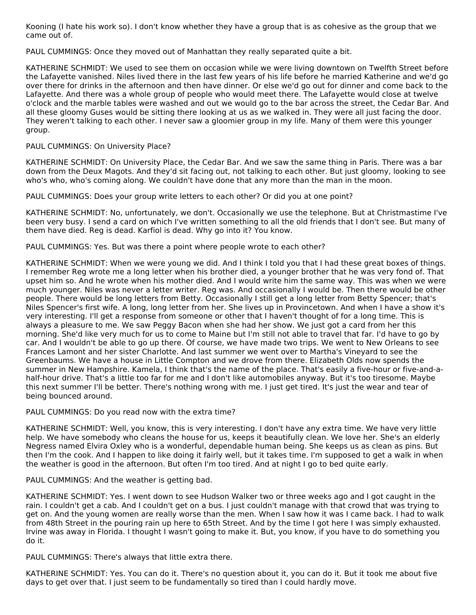Kooning (I hate his work so). I don't know whether they have a group that is as cohesive as the group that we came out of.

PAUL CUMMINGS: Once they moved out of Manhattan they really separated quite a bit.

KATHERINE SCHMIDT: We used to see them on occasion while we were living downtown on Twelfth Street before the Lafayette vanished. Niles lived there in the last few years of his life before he married Katherine and we'd go over there for drinks in the afternoon and then have dinner. Or else we'd go out for dinner and come back to the Lafayette. And there was a whole group of people who would meet there. The Lafayette would close at twelve o'clock and the marble tables were washed and out we would go to the bar across the street, the Cedar Bar. And all these gloomy Guses would be sitting there looking at us as we walked in. They were all just facing the door. They weren't talking to each other. I never saw a gloomier group in my life. Many of them were this younger group.

#### PAUL CUMMINGS: On University Place?

KATHERINE SCHMIDT: On University Place, the Cedar Bar. And we saw the same thing in Paris. There was a bar down from the Deux Magots. And they'd sit facing out, not talking to each other. But just gloomy, looking to see who's who, who's coming along. We couldn't have done that any more than the man in the moon.

PAUL CUMMINGS: Does your group write letters to each other? Or did you at one point?

KATHERINE SCHMIDT: No, unfortunately, we don't. Occasionally we use the telephone. But at Christmastime I've been very busy. I send a card on which I've written something to all the old friends that I don't see. But many of them have died. Reg is dead. Karfiol is dead. Why go into it? You know.

PAUL CUMMINGS: Yes. But was there a point where people wrote to each other?

KATHERINE SCHMIDT: When we were young we did. And I think I told you that I had these great boxes of things. I remember Reg wrote me a long letter when his brother died, a younger brother that he was very fond of. That upset him so. And he wrote when his mother died. And I would write him the same way. This was when we were much younger. Niles was never a letter writer. Reg was. And occasionally I would be. Then there would be other people. There would be long letters from Betty. Occasionally I still get a long letter from Betty Spencer; that's Niles Spencer's first wife. A long, long letter from her. She lives up in Provincetown. And when I have a show it's very interesting. I'll get a response from someone or other that I haven't thought of for a long time. This is always a pleasure to me. We saw Peggy Bacon when she had her show. We just got a card from her this morning. She'd like very much for us to come to Maine but I'm still not able to travel that far. I'd have to go by car. And I wouldn't be able to go up there. Of course, we have made two trips. We went to New Orleans to see Frances Lamont and her sister Charlotte. And last summer we went over to Martha's Vineyard to see the Greenbaums. We have a house in Little Compton and we drove from there. Elizabeth Olds now spends the summer in New Hampshire. Kamela, I think that's the name of the place. That's easily a five-hour or five-and-ahalf-hour drive. That's a little too far for me and I don't like automobiles anyway. But it's too tiresome. Maybe this next summer I'll be better. There's nothing wrong with me. I just get tired. It's just the wear and tear of being bounced around.

PAUL CUMMINGS: Do you read now with the extra time?

KATHERINE SCHMIDT: Well, you know, this is very interesting. I don't have any extra time. We have very little help. We have somebody who cleans the house for us, keeps it beautifully clean. We love her. She's an elderly Negress named Elvira Oxley who is a wonderful, dependable human being. She keeps us as clean as pins. But then I'm the cook. And I happen to like doing it fairly well, but it takes time. I'm supposed to get a walk in when the weather is good in the afternoon. But often I'm too tired. And at night I go to bed quite early.

PAUL CUMMINGS: And the weather is getting bad.

KATHERINE SCHMIDT: Yes. I went down to see Hudson Walker two or three weeks ago and I got caught in the rain. I couldn't get a cab. And I couldn't get on a bus. I just couldn't manage with that crowd that was trying to get on. And the young women are really worse than the men. When I saw how it was I came back. I had to walk from 48th Street in the pouring rain up here to 65th Street. And by the time I got here I was simply exhausted. Irvine was away in Florida. I thought I wasn't going to make it. But, you know, if you have to do something you do it.

PAUL CUMMINGS: There's always that little extra there.

KATHERINE SCHMIDT: Yes. You can do it. There's no question about it, you can do it. But it took me about five days to get over that. I just seem to be fundamentally so tired than I could hardly move.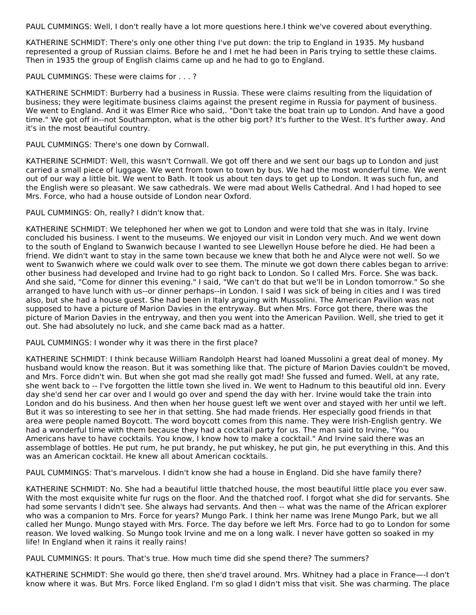PAUL CUMMINGS: Well, I don't really have a lot more questions here.I think we've covered about everything.

KATHERINE SCHMIDT: There's only one other thing I've put down: the trip to England in 1935. My husband represented a group of Russian claims. Before he and I met he had been in Paris trying to settle these claims. Then in 1935 the group of English claims came up and he had to go to England.

PAUL CUMMINGS: These were claims for . . . ?

KATHERINE SCHMIDT: Burberry had a business in Russia. These were claims resulting from the liquidation of business; they were legitimate business claims against the present regime in Russia for payment of business. We went to England. And it was Elmer Rice who said,. "Don't take the boat train up to London. And have a good time." We got off in--not Southampton, what is the other big port? It's further to the West. It's further away. And it's in the most beautiful country.

PAUL CUMMINGS: There's one down by Cornwall.

KATHERINE SCHMIDT: Well, this wasn't Cornwall. We got off there and we sent our bags up to London and just carried a small piece of luggage. We went from town to town by bus. We had the most wonderful time. We went out of our way a little bit. We went to Bath. It took us about ten days to get up to London. It was such fun, and the English were so pleasant. We saw cathedrals. We were mad about Wells Cathedral. And I had hoped to see Mrs. Force, who had a house outside of London near Oxford.

PAUL CUMMINGS: Oh, really? I didn't know that.

KATHERINE SCHMIDT: We telephoned her when we got to London and were told that she was in Italy. Irvine concluded his business. I went to the museums. We enjoyed our visit in London very much. And we went down to the south of England to Swanwich because I wanted to see Llewellyn House before he died. He had been a friend. We didn't want to stay in the same town because we knew that both he and Alyce were not well. So we went to Swanwich where we could walk over to see them. The minute we got down there cables began to arrive: other business had developed and Irvine had to go right back to London. So I called Mrs. Force. She was back. And she said, "Come for dinner this evening." I said, "We can't do that but we'll be in London tomorrow." So she arranged to have lunch with us--or dinner perhaps--in London. I said I was sick of being in cities and I was tired also, but she had a house guest. She had been in Italy arguing with Mussolini. The American Pavilion was not supposed to have a picture of Marion Davies in the entryway. But when Mrs. Force got there, there was the picture of Marion Davies in the entryway, and then you went into the American Pavilion. Well, she tried to get it out. She had absolutely no luck, and she came back mad as a hatter.

PAUL CUMMINGS: I wonder why it was there in the first place?

KATHERINE SCHMIDT: I think because William Randolph Hearst had loaned Mussolini a great deal of money. My husband would know the reason. But it was something like that. The picture of Marion Davies couldn't be moved, and Mrs. Force didn't win. But when she got mad she really got mad! She fussed and fumed. Well, at any rate, she went back to -- I've forgotten the little town she lived in. We went to Hadnum to this beautiful old inn. Every day she'd send her car over and I would go over and spend the day with her. Irvine would take the train into London and do his business. And then when her house guest left we went over and stayed with her until we left. But it was so interesting to see her in that setting. She had made friends. Her especially good friends in that area were people named Boycott. The word boycott comes from this name. They were Irish-English gentry. We had a wonderful time with them because they had a cocktail party for us. The man said to Irvine, "You Americans have to have cocktails. You know, I know how to make a cocktail." And Irvine said there was an assemblage of bottles. He put rum, he put brandy, he put whiskey, he put gin, he put everything in this. And this was an American cocktail. He knew all about American cocktails.

PAUL CUMMINGS: That's marvelous. I didn't know she had a house in England. Did she have family there?

KATHERINE SCHMIDT: No. She had a beautiful little thatched house, the most beautiful little place you ever saw. With the most exquisite white fur rugs on the floor. And the thatched roof. I forgot what she did for servants. She had some servants I didn't see. She always had servants. And then -- what was the name of the African explorer who was a companion to Mrs. Force for years? Mungo Park. I think her name was Irene Mungo Park, but we all called her Mungo. Mungo stayed with Mrs. Force. The day before we left Mrs. Force had to go to London for some reason. We loved walking. So Mungo took Irvine and me on a long walk. I never have gotten so soaked in my life! In England when it rains it really rains!

PAUL CUMMINGS: It pours. That's true. How much time did she spend there? The summers?

KATHERINE SCHMIDT: She would go there, then she'd travel around. Mrs. Whitney had a place in France—-I don't know where it was. But Mrs. Force liked England. I'm so glad I didn't miss that visit. She was charming. The place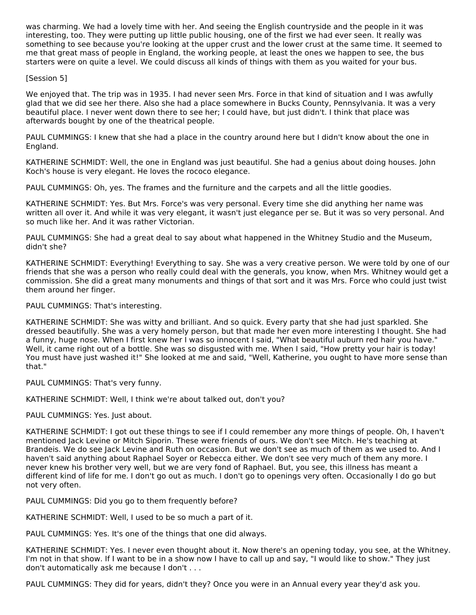was charming. We had a lovely time with her. And seeing the English countryside and the people in it was interesting, too. They were putting up little public housing, one of the first we had ever seen. It really was something to see because you're looking at the upper crust and the lower crust at the same time. It seemed to me that great mass of people in England, the working people, at least the ones we happen to see, the bus starters were on quite a level. We could discuss all kinds of things with them as you waited for your bus.

# [Session 5]

We enjoyed that. The trip was in 1935. I had never seen Mrs. Force in that kind of situation and I was awfully glad that we did see her there. Also she had a place somewhere in Bucks County, Pennsylvania. It was a very beautiful place. I never went down there to see her; I could have, but just didn't. I think that place was afterwards bought by one of the theatrical people.

PAUL CUMMINGS: I knew that she had a place in the country around here but I didn't know about the one in England.

KATHERINE SCHMIDT: Well, the one in England was just beautiful. She had a genius about doing houses. John Koch's house is very elegant. He loves the rococo elegance.

PAUL CUMMINGS: Oh, yes. The frames and the furniture and the carpets and all the little goodies.

KATHERINE SCHMIDT: Yes. But Mrs. Force's was very personal. Every time she did anything her name was written all over it. And while it was very elegant, it wasn't just elegance per se. But it was so very personal. And so much like her. And it was rather Victorian.

PAUL CUMMINGS: She had a great deal to say about what happened in the Whitney Studio and the Museum, didn't she?

KATHERINE SCHMIDT: Everything! Everything to say. She was a very creative person. We were told by one of our friends that she was a person who really could deal with the generals, you know, when Mrs. Whitney would get a commission. She did a great many monuments and things of that sort and it was Mrs. Force who could just twist them around her finger.

PAUL CUMMINGS: That's interesting.

KATHERINE SCHMIDT: She was witty and brilliant. And so quick. Every party that she had just sparkled. She dressed beautifully. She was a very homely person, but that made her even more interesting I thought. She had a funny, huge nose. When I first knew her I was so innocent I said, "What beautiful auburn red hair you have." Well, it came right out of a bottle. She was so disgusted with me. When I said, "How pretty your hair is today! You must have just washed it!" She looked at me and said, "Well, Katherine, you ought to have more sense than that."

PAUL CUMMINGS: That's very funny.

KATHERINE SCHMIDT: Well, I think we're about talked out, don't you?

PAUL CUMMINGS: Yes. Just about.

KATHERINE SCHMIDT: I got out these things to see if I could remember any more things of people. Oh, I haven't mentioned Jack Levine or Mitch Siporin. These were friends of ours. We don't see Mitch. He's teaching at Brandeis. We do see Jack Levine and Ruth on occasion. But we don't see as much of them as we used to. And I haven't said anything about Raphael Soyer or Rebecca either. We don't see very much of them any more. I never knew his brother very well, but we are very fond of Raphael. But, you see, this illness has meant a different kind of life for me. I don't go out as much. I don't go to openings very often. Occasionally I do go but not very often.

PAUL CUMMINGS: Did you go to them frequently before?

KATHERINE SCHMIDT: Well, I used to be so much a part of it.

PAUL CUMMINGS: Yes. It's one of the things that one did always.

KATHERINE SCHMIDT: Yes. I never even thought about it. Now there's an opening today, you see, at the Whitney. I'm not in that show. If I want to be in a show now I have to call up and say, "I would like to show." They just don't automatically ask me because I don't . . .

PAUL CUMMINGS: They did for years, didn't they? Once you were in an Annual every year they'd ask you.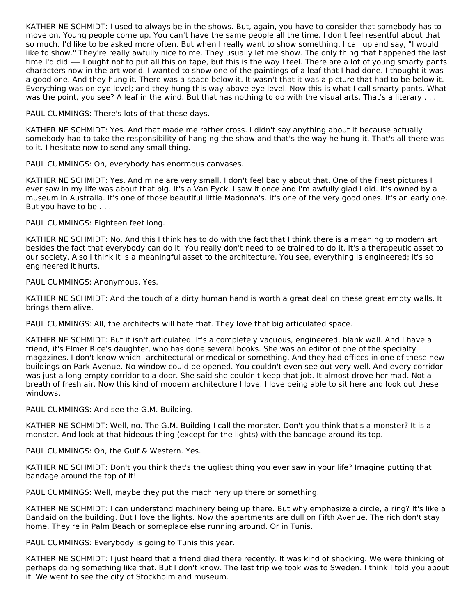KATHERINE SCHMIDT: I used to always be in the shows. But, again, you have to consider that somebody has to move on. Young people come up. You can't have the same people all the time. I don't feel resentful about that so much. I'd like to be asked more often. But when I really want to show something, I call up and say, "I would like to show." They're really awfully nice to me. They usually let me show. The only thing that happened the last time I'd did -— I ought not to put all this on tape, but this is the way I feel. There are a lot of young smarty pants characters now in the art world. I wanted to show one of the paintings of a leaf that I had done. I thought it was a good one. And they hung it. There was a space below it. It wasn't that it was a picture that had to be below it. Everything was on eye level; and they hung this way above eye level. Now this is what I call smarty pants. What was the point, you see? A leaf in the wind. But that has nothing to do with the visual arts. That's a literary ...

PAUL CUMMINGS: There's lots of that these days.

KATHERINE SCHMIDT: Yes. And that made me rather cross. I didn't say anything about it because actually somebody had to take the responsibility of hanging the show and that's the way he hung it. That's all there was to it. I hesitate now to send any small thing.

PAUL CUMMINGS: Oh, everybody has enormous canvases.

KATHERINE SCHMIDT: Yes. And mine are very small. I don't feel badly about that. One of the finest pictures I ever saw in my life was about that big. It's a Van Eyck. I saw it once and I'm awfully glad I did. It's owned by a museum in Australia. It's one of those beautiful little Madonna's. It's one of the very good ones. It's an early one. But you have to be . . .

PAUL CUMMINGS: Eighteen feet long.

KATHERINE SCHMIDT: No. And this I think has to do with the fact that I think there is a meaning to modern art besides the fact that everybody can do it. You really don't need to be trained to do it. It's a therapeutic asset to our society. Also I think it is a meaningful asset to the architecture. You see, everything is engineered; it's so engineered it hurts.

PAUL CUMMINGS: Anonymous. Yes.

KATHERINE SCHMIDT: And the touch of a dirty human hand is worth a great deal on these great empty walls. It brings them alive.

PAUL CUMMINGS: All, the architects will hate that. They love that big articulated space.

KATHERINE SCHMIDT: But it isn't articulated. It's a completely vacuous, engineered, blank wall. And I have a friend, it's Elmer Rice's daughter, who has done several books. She was an editor of one of the specialty magazines. I don't know which--architectural or medical or something. And they had offices in one of these new buildings on Park Avenue. No window could be opened. You couldn't even see out very well. And every corridor was just a long empty corridor to a door. She said she couldn't keep that job. It almost drove her mad. Not a breath of fresh air. Now this kind of modern architecture I love. I love being able to sit here and look out these windows.

PAUL CUMMINGS: And see the G.M. Building.

KATHERINE SCHMIDT: Well, no. The G.M. Building I call the monster. Don't you think that's a monster? It is a monster. And look at that hideous thing (except for the lights) with the bandage around its top.

PAUL CUMMINGS: Oh, the Gulf & Western. Yes.

KATHERINE SCHMIDT: Don't you think that's the ugliest thing you ever saw in your life? Imagine putting that bandage around the top of it!

PAUL CUMMINGS: Well, maybe they put the machinery up there or something.

KATHERINE SCHMIDT: I can understand machinery being up there. But why emphasize a circle, a ring? It's like a Bandaid on the building. But I love the lights. Now the apartments are dull on Fifth Avenue. The rich don't stay home. They're in Palm Beach or someplace else running around. Or in Tunis.

PAUL CUMMINGS: Everybody is going to Tunis this year.

KATHERINE SCHMIDT: I just heard that a friend died there recently. It was kind of shocking. We were thinking of perhaps doing something like that. But I don't know. The last trip we took was to Sweden. I think I told you about it. We went to see the city of Stockholm and museum.